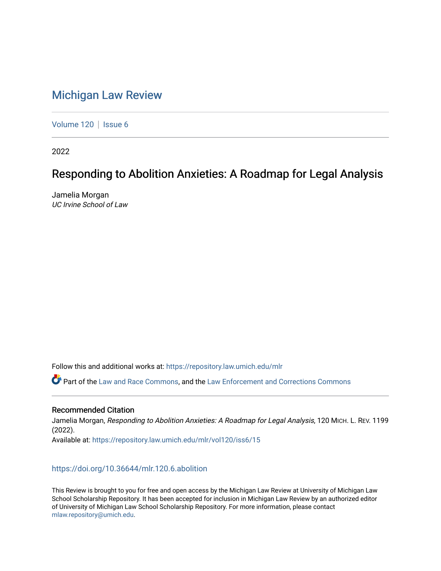# [Michigan Law Review](https://repository.law.umich.edu/mlr)

[Volume 120](https://repository.law.umich.edu/mlr/vol120) | [Issue 6](https://repository.law.umich.edu/mlr/vol120/iss6)

2022

# Responding to Abolition Anxieties: A Roadmap for Legal Analysis

Jamelia Morgan UC Irvine School of Law

Follow this and additional works at: [https://repository.law.umich.edu/mlr](https://repository.law.umich.edu/mlr?utm_source=repository.law.umich.edu%2Fmlr%2Fvol120%2Fiss6%2F15&utm_medium=PDF&utm_campaign=PDFCoverPages) 

Part of the [Law and Race Commons,](http://network.bepress.com/hgg/discipline/1300?utm_source=repository.law.umich.edu%2Fmlr%2Fvol120%2Fiss6%2F15&utm_medium=PDF&utm_campaign=PDFCoverPages) and the [Law Enforcement and Corrections Commons](http://network.bepress.com/hgg/discipline/854?utm_source=repository.law.umich.edu%2Fmlr%2Fvol120%2Fiss6%2F15&utm_medium=PDF&utm_campaign=PDFCoverPages)

## Recommended Citation

Jamelia Morgan, Responding to Abolition Anxieties: A Roadmap for Legal Analysis, 120 MICH. L. REV. 1199 (2022). Available at: [https://repository.law.umich.edu/mlr/vol120/iss6/15](https://repository.law.umich.edu/mlr/vol120/iss6/15?utm_source=repository.law.umich.edu%2Fmlr%2Fvol120%2Fiss6%2F15&utm_medium=PDF&utm_campaign=PDFCoverPages) 

# <https://doi.org/10.36644/mlr.120.6.abolition>

This Review is brought to you for free and open access by the Michigan Law Review at University of Michigan Law School Scholarship Repository. It has been accepted for inclusion in Michigan Law Review by an authorized editor of University of Michigan Law School Scholarship Repository. For more information, please contact [mlaw.repository@umich.edu.](mailto:mlaw.repository@umich.edu)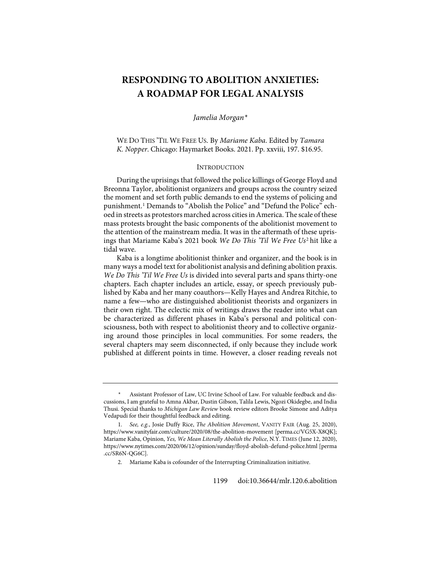# **RESPONDING TO ABOLITION ANXIETIES: A ROADMAP FOR LEGAL ANALYSIS**

*Jamelia Morgan[\\*](#page-1-0)*

WE DO THIS 'TIL WE FREE US. By *Mariame Kaba*. Edited by *Tamara K. Nopper*. Chicago: Haymarket Books. 2021. Pp. xxviii, 197. \$16.95.

#### **INTRODUCTION**

<span id="page-1-3"></span>During the uprisings that followed the police killings of George Floyd and Breonna Taylor, abolitionist organizers and groups across the country seized the moment and set forth public demands to end the systems of policing and punishment.<sup>[1](#page-1-1)</sup> Demands to "Abolish the Police" and "Defund the Police" echoed in streets as protestors marched across cities in America. The scale of these mass protests brought the basic components of the abolitionist movement to the attention of the mainstream media. It was in the aftermath of these uprisings that Mariame Kaba's 2021 book *We Do This 'Til We Free Us*[2](#page-1-2) hit like a tidal wave.

Kaba is a longtime abolitionist thinker and organizer, and the book is in many ways a model text for abolitionist analysis and defining abolition praxis. *We Do This 'Til We Free Us* is divided into several parts and spans thirty-one chapters. Each chapter includes an article, essay, or speech previously published by Kaba and her many coauthors—Kelly Hayes and Andrea Ritchie, to name a few—who are distinguished abolitionist theorists and organizers in their own right. The eclectic mix of writings draws the reader into what can be characterized as different phases in Kaba's personal and political consciousness, both with respect to abolitionist theory and to collective organizing around those principles in local communities. For some readers, the several chapters may seem disconnected, if only because they include work published at different points in time. However, a closer reading reveals not

<span id="page-1-0"></span><sup>\*</sup> Assistant Professor of Law, UC Irvine School of Law. For valuable feedback and discussions, I am grateful to Amna Akbar, Dustin Gibson, Talila Lewis, Ngozi Okidegbe, and India Thusi. Special thanks to *Michigan Law Review* book review editors Brooke Simone and Aditya Vedapudi for their thoughtful feedback and editing.

<span id="page-1-2"></span><span id="page-1-1"></span><sup>1.</sup> *See, e.g.*, Josie Duffy Rice, *The Abolition Movement*, VANITY FAIR (Aug. 25, 2020), <https://www.vanityfair.com/culture/2020/08/the-abolition-movement> [\[perma.cc/VG5X-X8QK\]](https://perma.cc/VG5X-X8QK); Mariame Kaba, Opinion, *Yes, We Mean Literally Abolish the Police*, N.Y. TIMES (June 12, 2020), <https://www.nytimes.com/2020/06/12/opinion/sunday/floyd-abolish-defund-police.html> [\[perma](https://perma.cc/SR6N-QG6C) [.cc/SR6N-QG6C\]](https://perma.cc/SR6N-QG6C).

<sup>2.</sup> Mariame Kaba is cofounder of the Interrupting Criminalization initiative.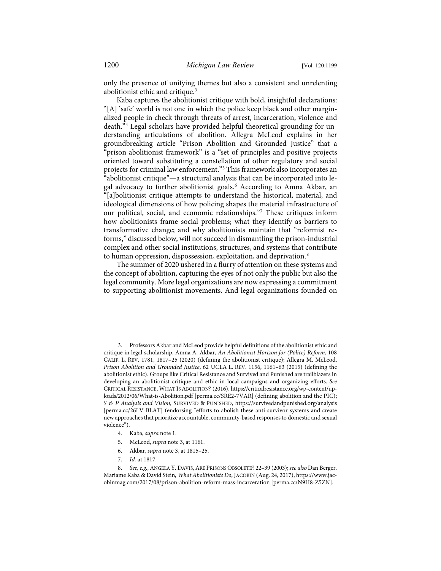<span id="page-2-0"></span>only the presence of unifying themes but also a consistent and unrelenting abolitionist ethic and critique.[3](#page-2-1)

Kaba captures the abolitionist critique with bold, insightful declarations: "[A] 'safe' world is not one in which the police keep black and other marginalized people in check through threats of arrest, incarceration, violence and death."[4](#page-2-2) Legal scholars have provided helpful theoretical grounding for understanding articulations of abolition. Allegra McLeod explains in her groundbreaking article "Prison Abolition and Grounded Justice" that a 'prison abolitionist framework" is a "set of principles and positive projects oriented toward substituting a constellation of other regulatory and social projects for criminal law enforcement."[5](#page-2-3) This framework also incorporates an "abolitionist critique"—a structural analysis that can be incorporated into le-gal advocacy to further abolitionist goals.<sup>[6](#page-2-4)</sup> According to Amna Akbar, an "[a]bolitionist critique attempts to understand the historical, material, and ideological dimensions of how policing shapes the material infrastructure of our political, social, and economic relationships.["7](#page-2-5) These critiques inform how abolitionists frame social problems; what they identify as barriers to transformative change; and why abolitionists maintain that "reformist reforms," discussed below, will not succeed in dismantling the prison-industrial complex and other social institutions, structures, and systems that contribute to human oppression, dispossession, exploitation, and deprivation.[8](#page-2-6)

<span id="page-2-8"></span><span id="page-2-7"></span>The summer of 2020 ushered in a flurry of attention on these systems and the concept of abolition, capturing the eyes of not only the public but also the legal community. More legal organizations are now expressing a commitment to supporting abolitionist movements. And legal organizations founded on

- 4. Kaba, *supra* not[e 1.](#page-1-3)
- 5. McLeod, *supra* not[e 3,](#page-2-0) at 1161.
- 6. Akbar, *supra* not[e 3,](#page-2-0) at 1815–25.
- 7. *Id.* at 1817.

<span id="page-2-1"></span><sup>3.</sup> Professors Akbar and McLeod provide helpful definitions of the abolitionist ethic and critique in legal scholarship. Amna A. Akbar, *An Abolitionist Horizon for (Police) Reform*, 108 CALIF. L. REV. 1781, 1817–25 (2020) (defining the abolitionist critique); Allegra M. McLeod, *Prison Abolition and Grounded Justice*, 62 UCLA L. REV. 1156, 1161–63 (2015) (defining the abolitionist ethic). Groups like Critical Resistance and Survived and Punished are trailblazers in developing an abolitionist critique and ethic in local campaigns and organizing efforts. *See* CRITICAL RESISTANCE, WHAT ISABOLITION? (2016)[, https://criticalresistance.org/wp-content/up](https://criticalresistance.org/wp-content/uploads/2012/06/What-is-Abolition.pdf)[loads/2012/06/What-is-Abolition.pdf](https://criticalresistance.org/wp-content/uploads/2012/06/What-is-Abolition.pdf) [\[perma.cc/SRE2-7VAR\]](https://perma.cc/SRE2-7VAR) (defining abolition and the PIC); *S & P Analysis and Vision*, SURVIVED & PUNISHED,<https://survivedandpunished.org/analysis> [\[perma.cc/26LV-BLAT\]](https://perma.cc/26LV-BLAT) (endorsing "efforts to abolish these anti-survivor systems and create new approaches that prioritize accountable, community-based responses to domestic and sexual violence").

<span id="page-2-6"></span><span id="page-2-5"></span><span id="page-2-4"></span><span id="page-2-3"></span><span id="page-2-2"></span><sup>8.</sup> *See, e.g.*, ANGELA Y. DAVIS, ARE PRISONS OBSOLETE? 22–39 (2003); *see also* Dan Berger, Mariame Kaba & David Stein, *What Abolitionists Do*, JACOBIN (Aug. 24, 2017)[, https://www.jac](https://www.jacobinmag.com/2017/08/prison-abolition-reform-mass-incarceration)[obinmag.com/2017/08/prison-abolition-reform-mass-incarceration](https://www.jacobinmag.com/2017/08/prison-abolition-reform-mass-incarceration) [\[perma.cc/N9H8-Z5ZN\]](https://perma.cc/N9H8-Z5ZN).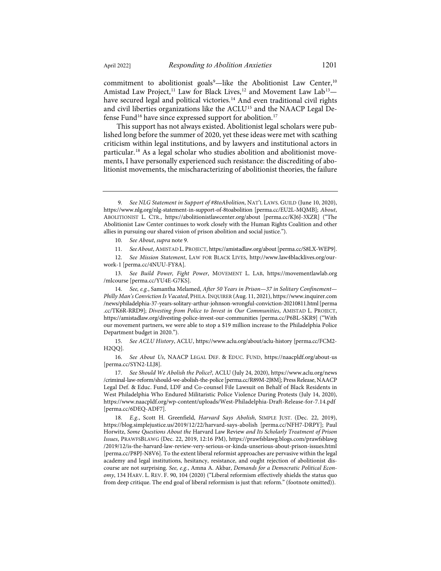commitment to abolitionist goals<sup>[9](#page-3-0)</sup>—like the Abolitionist Law Center,<sup>[10](#page-3-1)</sup> Amistad Law Project,<sup>11</sup> Law for Black Lives,<sup>[12](#page-3-3)</sup> and Movement Law Lab<sup>[13](#page-3-4)</sup>-have secured legal and political victories.<sup>[14](#page-3-5)</sup> And even traditional civil rights and civil liberties organizations like the ACLU<sup>[15](#page-3-6)</sup> and the NAACP Legal De-fense Fund<sup>[16](#page-3-7)</sup> have since expressed support for abolition.<sup>[17](#page-3-8)</sup>

<span id="page-3-11"></span><span id="page-3-10"></span>This support has not always existed. Abolitionist legal scholars were published long before the summer of 2020, yet these ideas were met with scathing criticism within legal institutions, and by lawyers and institutional actors in particular.[18](#page-3-9) As a legal scholar who studies abolition and abolitionist movements, I have personally experienced such resistance: the discrediting of abolitionist movements, the mischaracterizing of abolitionist theories, the failure

<span id="page-3-3"></span><span id="page-3-2"></span><span id="page-3-1"></span>12. *See Mission Statement*, LAW FOR BLACK LIVES, [http://www.law4blacklives.org/our](http://www.law4blacklives.org/our-work-1)[work-1](http://www.law4blacklives.org/our-work-1) [\[perma.cc/4NUU-FY8A\]](https://perma.cc/4NUU-FY8A).

<span id="page-3-4"></span>13. *See Build Power, Fight Power*, MOVEMENT L. LAB, [https://movementlawlab.org](https://movementlawlab.org/mlcourse) [/mlcourse](https://movementlawlab.org/mlcourse) [\[perma.cc/YU4E-G7KS\]](https://perma.cc/YU4E-G7KS).

<span id="page-3-5"></span>14. *See, e.g.*, Samantha Melamed, *After 50 Years in Prison—37 in Solitary Confinement— Philly Man's Conviction Is Vacated*, PHILA. INQUIRER (Aug. 11, 2021)[, https://www.inquirer.com](https://www.inquirer.com/news/philadelphia-37-years-solitary-arthur-johnson-wrongful-conviction-20210811.html) [/news/philadelphia-37-years-solitary-arthur-johnson-wrongful-conviction-20210811.html](https://www.inquirer.com/news/philadelphia-37-years-solitary-arthur-johnson-wrongful-conviction-20210811.html)[\[perma](https://perma.cc/TK6R-RRD9) [.cc/TK6R-RRD9\]](https://perma.cc/TK6R-RRD9); *Divesting from Police to Invest in Our Communities*, AMISTAD L. PROJECT, <https://amistadlaw.org/divesting-police-invest-our-communities> [\[perma.cc/P6BL-SKR9\]](https://perma.cc/P6BL-SKR9) ("With our movement partners, we were able to stop a \$19 million increase to the Philadelphia Police Department budget in 2020.").

<span id="page-3-6"></span>15. *See ACLU History*, ACLU,<https://www.aclu.org/about/aclu-history> [\[perma.cc/FCM2-](https://perma.cc/FCM2-H2QQ) [H2QQ\]](https://perma.cc/FCM2-H2QQ).

<span id="page-3-7"></span>16. *See About Us*, NAACP LEGAL DEF. & EDUC. FUND, [https://naacpldf.org/about-us](https://naacpldf.org/about-us/) [\[perma.cc/SYN2-LLJ8\]](https://perma.cc/SYN2-LLJ8).

<span id="page-3-8"></span>17. *See Should We Abolish the Police?*, ACLU (July 24, 2020)[, https://www.aclu.org/news](https://www.aclu.org/news%E2%80%8C/criminal-law-reform/should-we-abolish-the-police) [/criminal-law-reform/should-we-abolish-the-police](https://www.aclu.org/news%E2%80%8C/criminal-law-reform/should-we-abolish-the-police) [\[perma.cc/R89M-2J8M\]](https://perma.cc/R89M-2J8M); Press Release, NAACP Legal Def. & Educ. Fund, LDF and Co-counsel File Lawsuit on Behalf of Black Residents in West Philadelphia Who Endured Militaristic Police Violence During Protests (July 14, 2020), <https://www.naacpldf.org/wp-content/uploads/West-Philadelphia-Draft-Release-for-7.14.pdf> [\[perma.cc/6DEQ-ADF7\]](https://perma.cc/6DEQ-ADF7).

<span id="page-3-9"></span>18. *E.g.*, Scott H. Greenfield, *Harvard Says Abolish*, SIMPLE JUST. (Dec. 22, 2019), [https://blog.simplejustice.us/2019/12/22/harvard-says-abolish](https://blog.simplejustice.us/2019/12/22/harvard-says-abolish/) [\[perma.cc/NFH7-DRPY\]](https://perma.cc/NFH7-DRPY); Paul Horwitz, *Some Questions About the* Harvard Law Review *and Its Scholarly Treatment of Prison Issues*, PRAWFSBLAWG (Dec. 22, 2019, 12:16 PM), [https://prawfsblawg.blogs.com/prawfsblawg](https://prawfsblawg.blogs.com/prawfsblawg/2019/12/is-the-harvard-law-review-very-serious-or-kinda-unserious-about-prison-issues.html) [/2019/12/is-the-harvard-law-review-very-serious-or-kinda-unserious-about-prison-issues.html](https://prawfsblawg.blogs.com/prawfsblawg/2019/12/is-the-harvard-law-review-very-serious-or-kinda-unserious-about-prison-issues.html) [\[perma.cc/P8PJ-N8V6\]](https://perma.cc/P8PJ-N8V6). To the extent liberal reformist approaches are pervasive within the legal academy and legal institutions, hesitancy, resistance, and ought rejection of abolitionist discourse are not surprising. *See, e.g.*, Amna A. Akbar, *Demands for a Democratic Political Economy*, 134 HARV. L. REV. F. 90, 104 (2020) ("Liberal reformism effectively shields the status quo from deep critique. The end goal of liberal reformism is just that: reform." (footnote omitted)).

<span id="page-3-0"></span><sup>9.</sup> *See NLG Statement in Support of #8toAbolition*, NAT'L LAWS. GUILD (June 10, 2020), <https://www.nlg.org/nlg-statement-in-support-of-8toabolition> [\[perma.cc/EU2L-MQMB\]](https://perma.cc/EU2L-MQMB); *About*, ABOLITIONIST L. CTR., [https://abolitionistlawcenter.org/about](https://abolitionistlawcenter.org/about/) [\[perma.cc/KJ6J-3XZR\]](https://perma.cc/KJ6J-3XZR) ("The Abolitionist Law Center continues to work closely with the Human Rights Coalition and other allies in pursuing our shared vision of prison abolition and social justice.").

<sup>10.</sup> *See About*, *supra* not[e 9.](#page-2-7)

<sup>11.</sup> *SeeAbout*, AMISTAD L. PROJECT[, https://amistadlaw.org/about](https://amistadlaw.org/about)[\[perma.cc/S8LX-WEP9\]](https://perma.cc/S8LX-WEP9).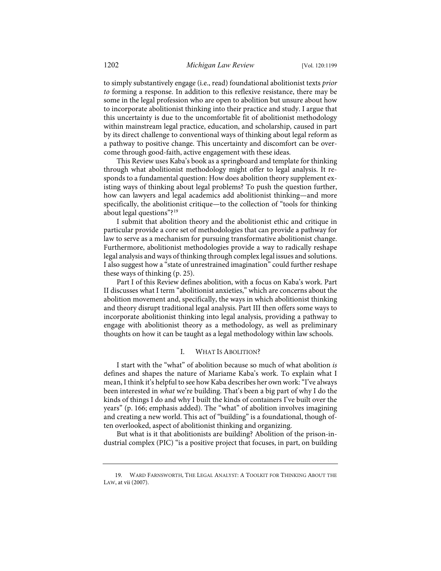to simply substantively engage (i.e., read) foundational abolitionist texts *prior to* forming a response. In addition to this reflexive resistance, there may be some in the legal profession who are open to abolition but unsure about how to incorporate abolitionist thinking into their practice and study. I argue that this uncertainty is due to the uncomfortable fit of abolitionist methodology within mainstream legal practice, education, and scholarship, caused in part by its direct challenge to conventional ways of thinking about legal reform as a pathway to positive change. This uncertainty and discomfort can be overcome through good-faith, active engagement with these ideas.

This Review uses Kaba's book as a springboard and template for thinking through what abolitionist methodology might offer to legal analysis. It responds to a fundamental question: How does abolition theory supplement existing ways of thinking about legal problems? To push the question further, how can lawyers and legal academics add abolitionist thinking—and more specifically, the abolitionist critique—to the collection of "tools for thinking about legal questions"?[19](#page-4-0)

<span id="page-4-1"></span>I submit that abolition theory and the abolitionist ethic and critique in particular provide a core set of methodologies that can provide a pathway for law to serve as a mechanism for pursuing transformative abolitionist change. Furthermore, abolitionist methodologies provide a way to radically reshape legal analysis and ways of thinking through complex legal issues and solutions. I also suggest how a "state of unrestrained imagination" could further reshape these ways of thinking (p. 25).

Part I of this Review defines abolition, with a focus on Kaba's work. Part II discusses what I term "abolitionist anxieties," which are concerns about the abolition movement and, specifically, the ways in which abolitionist thinking and theory disrupt traditional legal analysis. Part III then offers some ways to incorporate abolitionist thinking into legal analysis, providing a pathway to engage with abolitionist theory as a methodology, as well as preliminary thoughts on how it can be taught as a legal methodology within law schools.

#### I. WHAT IS ABOLITION?

I start with the "what" of abolition because so much of what abolition *is* defines and shapes the nature of Mariame Kaba's work. To explain what I mean, I think it's helpful to see how Kaba describes her own work: "I've always been interested in *what* we're building. That's been a big part of why I do the kinds of things I do and why I built the kinds of containers I've built over the years" (p. 166; emphasis added). The "what" of abolition involves imagining and creating a new world. This act of "building" is a foundational, though often overlooked, aspect of abolitionist thinking and organizing.

But what is it that abolitionists are building? Abolition of the prison-industrial complex (PIC) "is a positive project that focuses, in part, on building

<span id="page-4-0"></span><sup>19.</sup> WARD FARNSWORTH, THE LEGAL ANALYST: A TOOLKIT FOR THINKING ABOUT THE LAW, at vii (2007).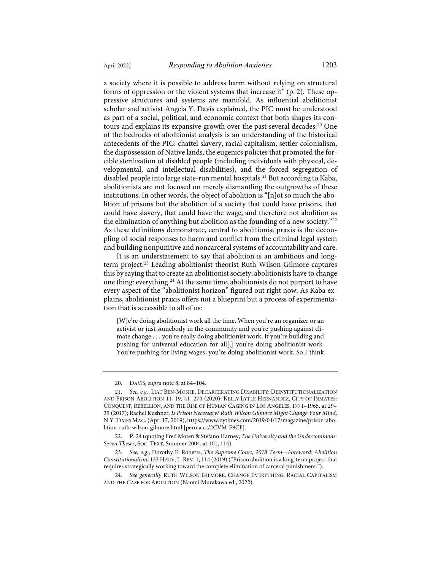a society where it is possible to address harm without relying on structural forms of oppression or the violent systems that increase it" (p. 2). These oppressive structures and systems are manifold. As influential abolitionist scholar and activist Angela Y. Davis explained, the PIC must be understood as part of a social, political, and economic context that both shapes its con-tours and explains its expansive growth over the past several decades.<sup>[20](#page-5-0)</sup> One of the bedrocks of abolitionist analysis is an understanding of the historical antecedents of the PIC: chattel slavery, racial capitalism, settler colonialism, the dispossession of Native lands, the eugenics policies that promoted the forcible sterilization of disabled people (including individuals with physical, developmental, and intellectual disabilities), and the forced segregation of disabled people into large state-run mental hospitals.<sup>[21](#page-5-1)</sup> But according to Kaba, abolitionists are not focused on merely dismantling the outgrowths of these institutions. In other words, the object of abolition is " $[n]$  ot so much the abolition of prisons but the abolition of a society that could have prisons, that could have slavery, that could have the wage, and therefore not abolition as the elimination of anything but abolition as the founding of a new society."<sup>[22](#page-5-2)</sup>

<span id="page-5-7"></span>As these definitions demonstrate, central to abolitionist praxis is the decoupling of social responses to harm and conflict from the criminal legal system and building nonpunitive and noncarceral systems of accountability and care. It is an understatement to say that abolition is an ambitious and longterm project.[23](#page-5-3) Leading abolitionist theorist Ruth Wilson Gilmore captures this by saying that to create an abolitionist society, abolitionists have to change

<span id="page-5-6"></span><span id="page-5-5"></span>one thing: everything.<sup>[24](#page-5-4)</sup> At the same time, abolitionists do not purport to have every aspect of the "abolitionist horizon" figured out right now. As Kaba explains, abolitionist praxis offers not a blueprint but a process of experimentation that is accessible to all of us:

[W]e're doing abolitionist work all the time. When you're an organizer or an activist or just somebody in the community and you're pushing against climate change . . . you're really doing abolitionist work. If you're building and pushing for universal education for all[,] you're doing abolitionist work. You're pushing for living wages, you're doing abolitionist work. So I think

<sup>20.</sup> DAVIS, *supra* not[e 8,](#page-2-8) at 84–104.

<span id="page-5-1"></span><span id="page-5-0"></span><sup>21.</sup> *See, e.g.*, LIAT BEN-MOSHE, DECARCERATING DISABILITY: DEINSTITUTIONALIZATION AND PRISON ABOLITION 11–19, 41, 274 (2020); KELLY LYTLE HERNÁNDEZ, CITY OF INMATES: CONQUEST, REBELLION, AND THE RISE OF HUMAN CAGING IN LOS ANGELES, 1771–1965, at 29– 39 (2017); Rachel Kushner, *Is Prison Necessary? Ruth Wilson Gilmore Might Change Your Mind*, N.Y. TIMES MAG. (Apr. 17, 2019)[, https://www.nytimes.com/2019/04/17/magazine/prison-abo](https://www.nytimes.com/2019/04/17/magazine/prison-abolition-ruth-wilson-gilmore.html)[lition-ruth-wilson-gilmore.html](https://www.nytimes.com/2019/04/17/magazine/prison-abolition-ruth-wilson-gilmore.html) [\[perma.cc/2CVM-F9CF\]](https://perma.cc/2CVM-F9CF).

<span id="page-5-2"></span><sup>22.</sup> P. 24 (quoting Fred Moten & Stefano Harney, *The University and the Undercommons: Seven Theses*, SOC. TEXT, Summer 2004, at 101, 114).

<span id="page-5-3"></span><sup>23.</sup> *See, e.g.*, Dorothy E. Roberts, *The Supreme Court, 2018 Term—Foreword: Abolition Constitutionalism*, 133 HARV. L. REV. 1, 114 (2019) ("Prison abolition is a long-term project that requires strategically working toward the complete elimination of carceral punishment.").

<span id="page-5-4"></span><sup>24.</sup> *See generally* RUTH WILSON GILMORE, CHANGE EVERYTHING: RACIAL CAPITALISM AND THE CASE FOR ABOLITION (Naomi Murakawa ed., 2022).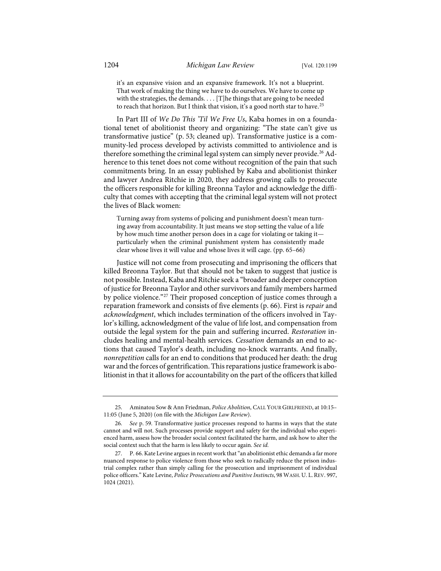it's an expansive vision and an expansive framework. It's not a blueprint. That work of making the thing we have to do ourselves. We have to come up with the strategies, the demands.  $\ldots$  [T]he things that are going to be needed to reach that horizon. But I think that vision, it's a good north star to have. $^{25}$  $^{25}$  $^{25}$ 

In Part III of *We Do This 'Til We Free Us*, Kaba homes in on a foundational tenet of abolitionist theory and organizing: "The state can't give us transformative justice" (p. 53; cleaned up). Transformative justice is a community-led process developed by activists committed to antiviolence and is therefore something the criminal legal system can simply never provide.<sup>[26](#page-6-1)</sup> Adherence to this tenet does not come without recognition of the pain that such commitments bring. In an essay published by Kaba and abolitionist thinker and lawyer Andrea Ritchie in 2020, they address growing calls to prosecute the officers responsible for killing Breonna Taylor and acknowledge the difficulty that comes with accepting that the criminal legal system will not protect the lives of Black women:

Turning away from systems of policing and punishment doesn't mean turning away from accountability. It just means we stop setting the value of a life by how much time another person does in a cage for violating or taking it particularly when the criminal punishment system has consistently made clear whose lives it will value and whose lives it will cage. (pp. 65–66)

Justice will not come from prosecuting and imprisoning the officers that killed Breonna Taylor. But that should not be taken to suggest that justice is not possible. Instead, Kaba and Ritchie seek a "broader and deeper conception of justice for Breonna Taylor and other survivors and family members harmed by police violence."<sup>[27](#page-6-2)</sup> Their proposed conception of justice comes through a reparation framework and consists of five elements (p. 66). First is *repair* and *acknowledgment*, which includes termination of the officers involved in Taylor's killing, acknowledgment of the value of life lost, and compensation from outside the legal system for the pain and suffering incurred. *Restoration* includes healing and mental-health services. *Cessation* demands an end to actions that caused Taylor's death, including no-knock warrants. And finally, *nonrepetition* calls for an end to conditions that produced her death: the drug war and the forces of gentrification. This reparations justice framework is abolitionist in that it allows for accountability on the part of the officers that killed

<span id="page-6-0"></span><sup>25.</sup> Aminatou Sow & Ann Friedman, *Police Abolition*, CALL YOUR GIRLFRIEND, at 10:15– 11:05 (June 5, 2020) (on file with the *Michigan Law Review*).

<span id="page-6-1"></span><sup>26.</sup> *See* p. 59. Transformative justice processes respond to harms in ways that the state cannot and will not. Such processes provide support and safety for the individual who experienced harm, assess how the broader social context facilitated the harm, and ask how to alter the social context such that the harm is less likely to occur again. *See id.*

<span id="page-6-2"></span><sup>27.</sup> P. 66. Kate Levine argues in recent work that "an abolitionist ethic demands a far more nuanced response to police violence from those who seek to radically reduce the prison industrial complex rather than simply calling for the prosecution and imprisonment of individual police officers." Kate Levine, *Police Prosecutions and Punitive Instincts*, 98 WASH. U. L.REV. 997, 1024 (2021).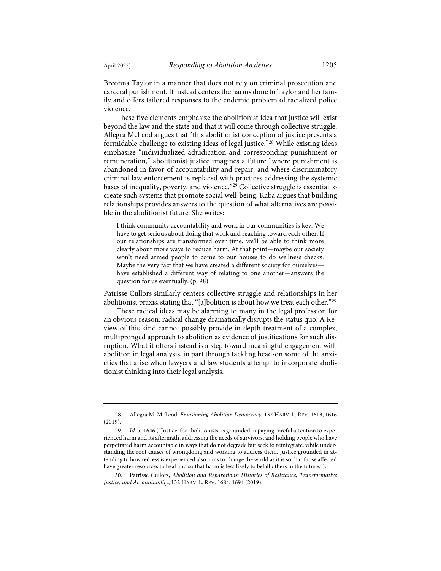Breonna Taylor in a manner that does not rely on criminal prosecution and carceral punishment. It instead centers the harms done to Taylor and her family and offers tailored responses to the endemic problem of racialized police violence.

<span id="page-7-3"></span>These five elements emphasize the abolitionist idea that justice will exist beyond the law and the state and that it will come through collective struggle. Allegra McLeod argues that "this abolitionist conception of justice presents a formidable challenge to existing ideas of legal justice."[28](#page-7-0) While existing ideas emphasize "individualized adjudication and corresponding punishment or remuneration," abolitionist justice imagines a future "where punishment is abandoned in favor of accountability and repair, and where discriminatory criminal law enforcement is replaced with practices addressing the systemic bases of inequality, poverty, and violence."[29](#page-7-1) Collective struggle is essential to create such systems that promote social well-being. Kaba argues that building relationships provides answers to the question of what alternatives are possible in the abolitionist future. She writes:

<span id="page-7-4"></span>I think community accountability and work in our communities is key. We have to get serious about doing that work and reaching toward each other. If our relationships are transformed over time, we'll be able to think more clearly about more ways to reduce harm. At that point—maybe our society won't need armed people to come to our houses to do wellness checks. Maybe the very fact that we have created a different society for ourselves have established a different way of relating to one another—answers the question for us eventually. (p. 98)

Patrisse Cullors similarly centers collective struggle and relationships in her abolitionist praxis, stating that "[a]bolition is about how we treat each other."[30](#page-7-2)

These radical ideas may be alarming to many in the legal profession for an obvious reason: radical change dramatically disrupts the status quo. A Review of this kind cannot possibly provide in-depth treatment of a complex, multipronged approach to abolition as evidence of justifications for such disruption. What it offers instead is a step toward meaningful engagement with abolition in legal analysis, in part through tackling head-on some of the anxieties that arise when lawyers and law students attempt to incorporate abolitionist thinking into their legal analysis.

<span id="page-7-0"></span><sup>28.</sup> Allegra M. McLeod, *Envisioning Abolition Democracy*, 132 HARV. L. REV. 1613, 1616 (2019).

<span id="page-7-1"></span><sup>29.</sup> *Id.* at 1646 ("Justice, for abolitionists, is grounded in paying careful attention to experienced harm and its aftermath, addressing the needs of survivors, and holding people who have perpetrated harm accountable in ways that do not degrade but seek to reintegrate, while understanding the root causes of wrongdoing and working to address them. Justice grounded in attending to how redress is experienced also aims to change the world as it is so that those affected have greater resources to heal and so that harm is less likely to befall others in the future.").

<span id="page-7-2"></span><sup>30.</sup> Patrisse Cullors, *Abolition and Reparations: Histories of Resistance, Transformative Justice, and Accountability*, 132 HARV. L. REV. 1684, 1694 (2019).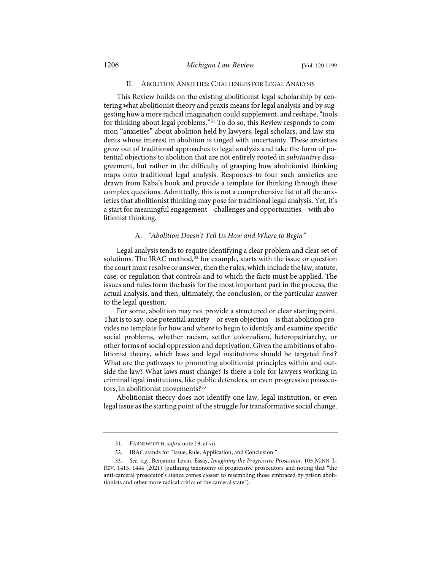#### II. ABOLITION ANXIETIES: CHALLENGES FOR LEGAL ANALYSIS

This Review builds on the existing abolitionist legal scholarship by centering what abolitionist theory and praxis means for legal analysis and by suggesting how a more radical imagination could supplement, and reshape, "tools for thinking about legal problems."[31](#page-8-0) To do so, this Review responds to common "anxieties" about abolition held by lawyers, legal scholars, and law students whose interest in abolition is tinged with uncertainty. These anxieties grow out of traditional approaches to legal analysis and take the form of potential objections to abolition that are not entirely rooted in *substantive* disagreement, but rather in the difficulty of grasping how abolitionist thinking maps onto traditional legal analysis. Responses to four such anxieties are drawn from Kaba's book and provide a template for thinking through these complex questions. Admittedly, this is not a comprehensive list of all the anxieties that abolitionist thinking may pose for traditional legal analysis. Yet, it's a start for meaningful engagement—challenges and opportunities—with abolitionist thinking.

#### A. *"Abolition Doesn't Tell Us How and Where to Begin"*

Legal analysis tends to require identifying a clear problem and clear set of solutions. The IRAC method,<sup>[32](#page-8-1)</sup> for example, starts with the issue or question the court must resolve or answer, then the rules, which include the law, statute, case, or regulation that controls and to which the facts must be applied. The issues and rules form the basis for the most important part in the process, the actual analysis, and then, ultimately, the conclusion, or the particular answer to the legal question.

For some, abolition may not provide a structured or clear starting point. That is to say, one potential anxiety—or even objection—is that abolition provides no template for how and where to begin to identify and examine specific social problems, whether racism, settler colonialism, heteropatriarchy, or other forms of social oppression and deprivation. Given the ambitions of abolitionist theory, which laws and legal institutions should be targeted first? What are the pathways to promoting abolitionist principles within and outside the law? What laws must change? Is there a role for lawyers working in criminal legal institutions, like public defenders, or even progressive prosecutors, in abolitionist movements?[33](#page-8-2)

Abolitionist theory does not identify one law, legal institution, or even legal issue as the starting point of the struggle for transformative social change.

<sup>31.</sup> FARNSWORTH, *supra* not[e 19,](#page-4-1) at vii.

<sup>32.</sup> IRAC stands for "Issue, Rule, Application, and Conclusion."

<span id="page-8-2"></span><span id="page-8-1"></span><span id="page-8-0"></span><sup>33.</sup> *See, e.g.*, Benjamin Levin, Essay, *Imagining the Progressive Prosecutor*, 105 MINN. L. REV. 1415, 1444 (2021) (outlining taxonomy of progressive prosecutors and noting that "the anti-carceral prosecutor's stance comes closest to resembling those embraced by prison abolitionists and other more radical critics of the carceral state").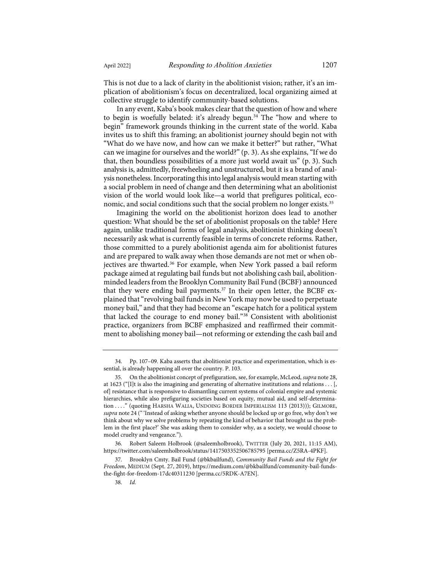This is not due to a lack of clarity in the abolitionist vision; rather, it's an implication of abolitionism's focus on decentralized, local organizing aimed at collective struggle to identify community-based solutions.

In any event, Kaba's book makes clear that the question of how and where to begin is woefully belated: it's already begun.<sup>[34](#page-9-0)</sup> The "how and where to begin" framework grounds thinking in the current state of the world. Kaba invites us to shift this framing; an abolitionist journey should begin not with "What do we have now, and how can we make it better?" but rather, "What can we imagine for ourselves and the world?" (p. 3). As she explains, "If we do that, then boundless possibilities of a more just world await us" (p. 3). Such analysis is, admittedly, freewheeling and unstructured, but it is a brand of analysis nonetheless. Incorporating this into legal analysis would mean starting with a social problem in need of change and then determining what an abolitionist vision of the world would look like—a world that prefigures political, eco-nomic, and social conditions such that the social problem no longer exists.<sup>[35](#page-9-1)</sup>

Imagining the world on the abolitionist horizon does lead to another question: What should be the set of abolitionist proposals on the table? Here again, unlike traditional forms of legal analysis, abolitionist thinking doesn't necessarily ask what is currently feasible in terms of concrete reforms. Rather, those committed to a purely abolitionist agenda aim for abolitionist futures and are prepared to walk away when those demands are not met or when ob-jectives are thwarted.<sup>[36](#page-9-2)</sup> For example, when New York passed a bail reform package aimed at regulating bail funds but not abolishing cash bail, abolitionminded leaders from the Brooklyn Community Bail Fund (BCBF) announced that they were ending bail payments.[37](#page-9-3) In their open letter, the BCBF explained that "revolving bail funds in New York may now be used to perpetuate money bail," and that they had become an "escape hatch for a political system that lacked the courage to end money bail."[38](#page-9-4) Consistent with abolitionist practice, organizers from BCBF emphasized and reaffirmed their commitment to abolishing money bail—not reforming or extending the cash bail and

<span id="page-9-0"></span><sup>34.</sup> Pp. 107–09. Kaba asserts that abolitionist practice and experimentation, which is essential, is already happening all over the country. P. 103.

<span id="page-9-1"></span><sup>35.</sup> On the abolitionist concept of prefiguration, see, for example, McLeod, *supra* not[e 28,](#page-7-3)  at 1623 ("[I]t is also the imagining and generating of alternative institutions and relations . . . [, of] resistance that is responsive to dismantling current systems of colonial empire and systemic hierarchies, while also prefiguring societies based on equity, mutual aid, and self-determination . . . ." (quoting HARSHA WALIA, UNDOING BORDER IMPERIALISM 113 (2013))); GILMORE, *supra* not[e 24](#page-5-5) ("'Instead of asking whether anyone should be locked up or go free, why don't we think about why we solve problems by repeating the kind of behavior that brought us the problem in the first place?' She was asking them to consider why, as a society, we would choose to model cruelty and vengeance.").

<span id="page-9-2"></span><sup>36.</sup> Robert Saleem Holbrook (@saleemholbrook), TWITTER (July 20, 2021, 11:15 AM), <https://twitter.com/saleemholbrook/status/1417503352506785795> [\[perma.cc/Z5RA-4PKF\]](https://perma.cc/Z5RA-4PKF).

<span id="page-9-4"></span><span id="page-9-3"></span><sup>37.</sup> Brooklyn Cmty. Bail Fund (@bkbailfund), *Community Bail Funds and the Fight for Freedom*, MEDIUM (Sept. 27, 2019)[, https://medium.com/@bkbailfund/community-bail-funds](https://medium.com/@bkbailfund/community-bail-funds-the-fight-for-freedom-17dc40311230)[the-fight-for-freedom-17dc40311230](https://medium.com/@bkbailfund/community-bail-funds-the-fight-for-freedom-17dc40311230) [\[perma.cc/5RDK-A7EN\]](https://perma.cc/5RDK-A7EN).

<sup>38.</sup> *Id.*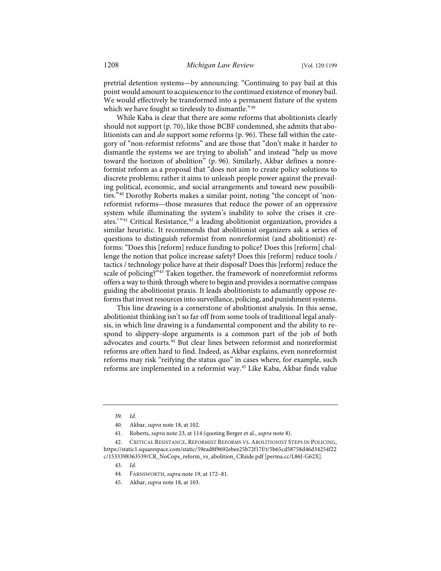pretrial detention systems—by announcing: "Continuing to pay bail at this point would amount to acquiescence to the continued existence of money bail. We would effectively be transformed into a permanent fixture of the system which we have fought so tirelessly to dismantle."<sup>[39](#page-10-0)</sup>

While Kaba is clear that there are some reforms that abolitionists clearly should not support (p. 70), like those BCBF condemned, she admits that abolitionists can and *do* support some reforms (p. 96). These fall within the category of "non-reformist reforms" and are those that "don't make it harder to dismantle the systems we are trying to abolish" and instead "help us move toward the horizon of abolition" (p. 96). Similarly, Akbar defines a nonreformist reform as a proposal that "does not aim to create policy solutions to discrete problems; rather it aims to unleash people power against the prevailing political, economic, and social arrangements and toward new possibilities.["40](#page-10-1) Dorothy Roberts makes a similar point, noting "the concept of 'nonreformist reforms—those measures that reduce the power of an oppressive system while illuminating the system's inability to solve the crises it cre-ates.'"<sup>[41](#page-10-2)</sup> Critical Resistance,<sup>[42](#page-10-3)</sup> a leading abolitionist organization, provides a similar heuristic. It recommends that abolitionist organizers ask a series of questions to distinguish reformist from nonreformist (and abolitionist) reforms: "Does this [reform] reduce funding to police? Does this [reform] challenge the notion that police increase safety? Does this [reform] reduce tools / tactics / technology police have at their disposal? Does this [reform] reduce the scale of policing?"<sup>[43](#page-10-4)</sup> Taken together, the framework of nonreformist reforms offers a way to think through where to begin and provides a normative compass guiding the abolitionist praxis. It leads abolitionists to adamantly oppose reforms that invest resources into surveillance, policing, and punishment systems.

<span id="page-10-7"></span>This line drawing is a cornerstone of abolitionist analysis. In this sense, abolitionist thinking isn't so far off from some tools of traditional legal analysis, in which line drawing is a fundamental component and the ability to respond to slippery-slope arguments is a common part of the job of both advocates and courts.[44](#page-10-5) But clear lines between reformist and nonreformist reforms are often hard to find. Indeed, as Akbar explains, even nonreformist reforms may risk "reifying the status quo" in cases where, for example, such reforms are implemented in a reformist way.<sup>[45](#page-10-6)</sup> Like Kaba, Akbar finds value

45. Akbar, *supra* not[e 18,](#page-3-10) at 103.

<sup>39.</sup> *Id.*

<sup>40.</sup> Akbar, *supra* not[e 18,](#page-3-10) at 102.

<sup>41.</sup> Roberts, *supra* not[e 23,](#page-5-6) at 114 (quoting Berger et al., *supra* not[e 8\)](#page-2-8).

<span id="page-10-6"></span><span id="page-10-5"></span><span id="page-10-4"></span><span id="page-10-3"></span><span id="page-10-2"></span><span id="page-10-1"></span><span id="page-10-0"></span><sup>42.</sup> CRITICAL RESISTANCE, REFORMIST REFORMS VS. ABOLITIONIST STEPS IN POLICING, [https://static1.squarespace.com/static/59ead8f9692ebee25b72f17f/t/5b65cd58758d46d34254f22](https://static1.squarespace.com/static/59ead8f9692ebee25b72f17f/t/5b65cd58758d46d34254f22c/1533398363539/CR_NoCops_reform_vs_abolition_CRside.pdf) [c/1533398363539/CR\\_NoCops\\_reform\\_vs\\_abolition\\_CRside.pdf](https://static1.squarespace.com/static/59ead8f9692ebee25b72f17f/t/5b65cd58758d46d34254f22c/1533398363539/CR_NoCops_reform_vs_abolition_CRside.pdf) [\[perma.cc/L86J-G62X\]](https://perma.cc/L86J-G62X).

<sup>43.</sup> *Id.*

<sup>44.</sup> FARNSWORTH, *supra* not[e 19,](#page-4-1) at 172–81.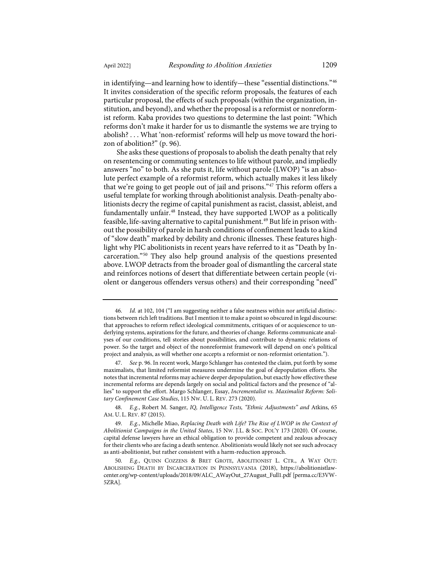in identifying—and learning how to identify—these "essential distinctions."[46](#page-11-0) It invites consideration of the specific reform proposals, the features of each particular proposal, the effects of such proposals (within the organization, institution, and beyond), and whether the proposal is a reformist or nonreformist reform. Kaba provides two questions to determine the last point: "Which reforms don't make it harder for us to dismantle the systems we are trying to abolish? . . . What 'non-reformist' reforms will help us move toward the horizon of abolition?" (p. 96).

She asks these questions of proposals to abolish the death penalty that rely on resentencing or commuting sentences to life without parole, and impliedly answers "no" to both. As she puts it, life without parole (LWOP) "is an absolute perfect example of a reformist reform, which actually makes it less likely that we're going to get people out of jail and prisons."[47](#page-11-1) This reform offers a useful template for working through abolitionist analysis. Death-penalty abolitionists decry the regime of capital punishment as racist, classist, ableist, and fundamentally unfair.<sup>[48](#page-11-2)</sup> Instead, they have supported LWOP as a politically feasible, life-saving alternative to capital punishment.<sup>[49](#page-11-3)</sup> But life in prison without the possibility of parole in harsh conditions of confinement leads to a kind of "slow death" marked by debility and chronic illnesses. These features highlight why PIC abolitionists in recent years have referred to it as "Death by Incarceration."[50](#page-11-4) They also help ground analysis of the questions presented above. LWOP detracts from the broader goal of dismantling the carceral state and reinforces notions of desert that differentiate between certain people (violent or dangerous offenders versus others) and their corresponding "need"

<span id="page-11-0"></span><sup>46.</sup> *Id.* at 102, 104 ("I am suggesting neither a false neatness within nor artificial distinctions between rich left traditions. But I mention it to make a point so obscured in legal discourse: that approaches to reform reflect ideological commitments, critiques of or acquiescence to underlying systems, aspirations for the future, and theories of change. Reforms communicate analyses of our conditions, tell stories about possibilities, and contribute to dynamic relations of power. So the target and object of the nonreformist framework will depend on one's political project and analysis, as will whether one accepts a reformist or non-reformist orientation.").

<span id="page-11-1"></span><sup>47.</sup> *See* p. 96. In recent work, Margo Schlanger has contested the claim, put forth by some maximalists, that limited reformist measures undermine the goal of depopulation efforts. She notes that incremental reforms may achieve deeper depopulation, but exactly how effective these incremental reforms are depends largely on social and political factors and the presence of "allies" to support the effort. Margo Schlanger, Essay, *Incrementalist vs. Maximalist Reform: Solitary Confinement Case Studies*, 115 NW. U. L. REV. 273 (2020).

<span id="page-11-2"></span><sup>48.</sup> *E.g.*, Robert M. Sanger, *IQ, Intelligence Tests, "Ethnic Adjustments" and* Atkins, 65 AM. U. L. REV. 87 (2015).

<span id="page-11-3"></span><sup>49.</sup> *E.g.*, Michelle Miao, *Replacing Death with Life? The Rise of LWOP in the Context of Abolitionist Campaigns in the United States*, 15 NW. J.L. & SOC. POL'Y 173 (2020). Of course, capital defense lawyers have an ethical obligation to provide competent and zealous advocacy for their clients who are facing a death sentence. Abolitionists would likely not see such advocacy as anti-abolitionist, but rather consistent with a harm-reduction approach.

<span id="page-11-4"></span><sup>50.</sup> *E.g.*, QUINN COZZENS & BRET GROTE, ABOLITIONIST L. CTR., A WAY OUT: ABOLISHING DEATH BY INCARCERATION IN PENNSYLVANIA (2018), [https://abolitionistlaw](https://abolitionistlawcenter.org/wp-content/uploads/2018/09/ALC_AWayOut_27August_Full1.pdf)[center.org/wp-content/uploads/2018/09/ALC\\_AWayOut\\_27August\\_Full1.pdf](https://abolitionistlawcenter.org/wp-content/uploads/2018/09/ALC_AWayOut_27August_Full1.pdf) [\[perma.cc/E3VW-](https://perma.cc/E3VW-5ZRA)[5ZRA\]](https://perma.cc/E3VW-5ZRA).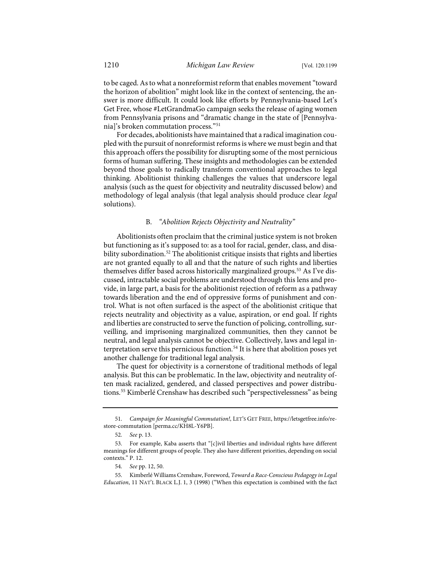to be caged. As to what a nonreformist reform that enables movement "toward the horizon of abolition" might look like in the context of sentencing, the answer is more difficult. It could look like efforts by Pennsylvania-based Let's Get Free, whose #LetGrandmaGo campaign seeks the release of aging women from Pennsylvania prisons and "dramatic change in the state of [Pennsylvania]'s broken commutation process."[51](#page-12-0)

For decades, abolitionists have maintained that a radical imagination coupled with the pursuit of nonreformist reforms is where we must begin and that this approach offers the possibility for disrupting some of the most pernicious forms of human suffering. These insights and methodologies can be extended beyond those goals to radically transform conventional approaches to legal thinking. Abolitionist thinking challenges the values that underscore legal analysis (such as the quest for objectivity and neutrality discussed below) and methodology of legal analysis (that legal analysis should produce clear *legal*  solutions).

## B. *"Abolition Rejects Objectivity and Neutrality"*

Abolitionists often proclaim that the criminal justice system is not broken but functioning as it's supposed to: as a tool for racial, gender, class, and disa-bility subordination.<sup>[52](#page-12-1)</sup> The abolitionist critique insists that rights and liberties are not granted equally to all and that the nature of such rights and liberties themselves differ based across historically marginalized groups.[53](#page-12-2) As I've discussed, intractable social problems are understood through this lens and provide, in large part, a basis for the abolitionist rejection of reform as a pathway towards liberation and the end of oppressive forms of punishment and control. What is not often surfaced is the aspect of the abolitionist critique that rejects neutrality and objectivity as a value, aspiration, or end goal. If rights and liberties are constructed to serve the function of policing, controlling, surveilling, and imprisoning marginalized communities, then they cannot be neutral, and legal analysis cannot be objective. Collectively, laws and legal in-terpretation serve this pernicious function.<sup>[54](#page-12-3)</sup> It is here that abolition poses yet another challenge for traditional legal analysis.

<span id="page-12-5"></span>The quest for objectivity is a cornerstone of traditional methods of legal analysis. But this can be problematic. In the law, objectivity and neutrality often mask racialized, gendered, and classed perspectives and power distributions.[55](#page-12-4) Kimberlé Crenshaw has described such "perspectivelessness" as being

<span id="page-12-0"></span><sup>51.</sup> *Campaign for Meaningful Commutation!*, LET'S GET FREE[, https://letsgetfree.info/re](https://letsgetfree.info/restore-commutation/)[store-commutation](https://letsgetfree.info/restore-commutation/) [\[perma.cc/KH8L-Y6PB\]](https://perma.cc/KH8L-Y6PB).

<sup>52.</sup> *See* p. 13.

<span id="page-12-2"></span><span id="page-12-1"></span><sup>53.</sup> For example, Kaba asserts that "[c]ivil liberties and individual rights have different meanings for different groups of people. They also have different priorities, depending on social contexts." P. 12.

<sup>54.</sup> *See* pp. 12, 50.

<span id="page-12-4"></span><span id="page-12-3"></span><sup>55.</sup> Kimberlé Williams Crenshaw, Foreword, *Toward a Race-Conscious Pedagogy in Legal Education*, 11 NAT'L BLACK L.J. 1, 3 (1998) ("When this expectation is combined with the fact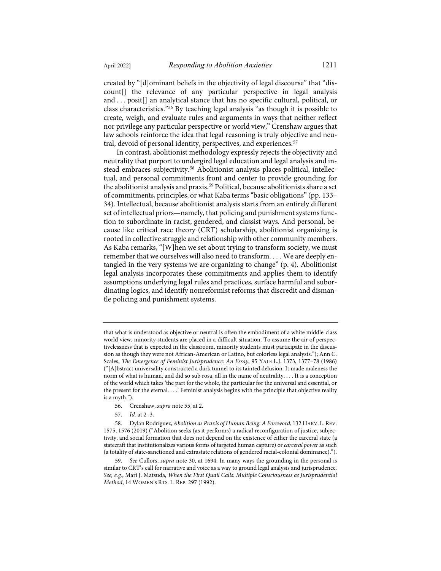created by "[d]ominant beliefs in the objectivity of legal discourse" that "discount[] the relevance of any particular perspective in legal analysis and . . . posit[] an analytical stance that has no specific cultural, political, or class characteristics."[56](#page-13-0) By teaching legal analysis "as though it is possible to create, weigh, and evaluate rules and arguments in ways that neither reflect nor privilege any particular perspective or world view," Crenshaw argues that law schools reinforce the idea that legal reasoning is truly objective and neu-tral, devoid of personal identity, perspectives, and experiences.<sup>[57](#page-13-1)</sup>

<span id="page-13-4"></span>In contrast, abolitionist methodology expressly rejects the objectivity and neutrality that purport to undergird legal education and legal analysis and in-stead embraces subjectivity.<sup>[58](#page-13-2)</sup> Abolitionist analysis places political, intellectual, and personal commitments front and center to provide grounding for the abolitionist analysis and praxis.<sup>[59](#page-13-3)</sup> Political, because abolitionists share a set of commitments, principles, or what Kaba terms "basic obligations" (pp. 133– 34). Intellectual, because abolitionist analysis starts from an entirely different set of intellectual priors—namely, that policing and punishment systems function to subordinate in racist, gendered, and classist ways. And personal, because like critical race theory (CRT) scholarship, abolitionist organizing is rooted in collective struggle and relationship with other community members. As Kaba remarks, "[W]hen we set about trying to transform society, we must remember that we ourselves will also need to transform. . . . We are deeply entangled in the very systems we are organizing to change" (p. 4). Abolitionist legal analysis incorporates these commitments and applies them to identify assumptions underlying legal rules and practices, surface harmful and subordinating logics, and identify nonreformist reforms that discredit and dismantle policing and punishment systems.

- 56. Crenshaw, *supra* not[e 55,](#page-12-5) at 2.
- 57. *Id.* at 2–3.

that what is understood as objective or neutral is often the embodiment of a white middle-class world view, minority students are placed in a difficult situation. To assume the air of perspectivelessness that is expected in the classroom, minority students must participate in the discussion as though they were not African-American or Latino, but colorless legal analysts."); Ann C. Scales, *The Emergence of Feminist Jurisprudence: An Essay*, 95 YALE L.J. 1373, 1377–78 (1986) ("[A]bstract universality constructed a dark tunnel to its tainted delusion. It made maleness the norm of what is human, and did so sub rosa, all in the name of neutrality. . . . It is a conception of the world which takes 'the part for the whole, the particular for the universal and essential, or the present for the eternal. . . .' Feminist analysis begins with the principle that objective reality is a myth.").

<span id="page-13-2"></span><span id="page-13-1"></span><span id="page-13-0"></span><sup>58.</sup> Dylan Rodríguez, *Abolition as Praxis of Human Being: A Foreword*, 132 HARV. L.REV. 1575, 1576 (2019) ("Abolition seeks (as it performs) a radical reconfiguration of justice, subjectivity, and social formation that does not depend on the existence of either the carceral state (a statecraft that institutionalizes various forms of targeted human capture) or *carceral power* as such (a totality of state-sanctioned and extrastate relations of gendered racial-colonial dominance).").

<span id="page-13-3"></span><sup>59.</sup> *See* Cullors, *supra* note [30,](#page-7-4) at 1694. In many ways the grounding in the personal is similar to CRT's call for narrative and voice as a way to ground legal analysis and jurisprudence. *See, e.g.*, Mari J. Matsuda, *When the First Quail Calls: Multiple Consciousness as Jurisprudential Method*, 14 WOMEN'S RTS. L. REP. 297 (1992).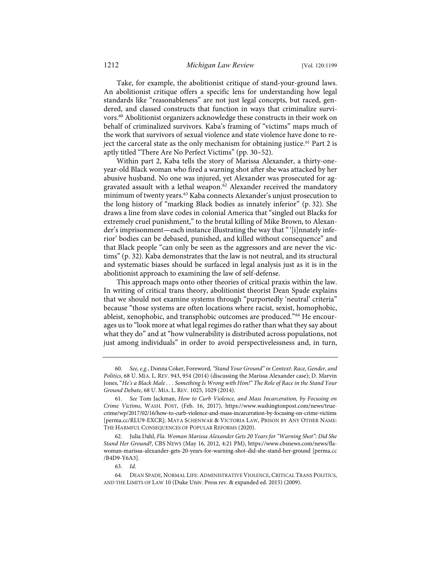Take, for example, the abolitionist critique of stand-your-ground laws. An abolitionist critique offers a specific lens for understanding how legal standards like "reasonableness" are not just legal concepts, but raced, gendered, and classed constructs that function in ways that criminalize survi-vors.<sup>[60](#page-14-0)</sup> Abolitionist organizers acknowledge these constructs in their work on behalf of criminalized survivors. Kaba's framing of "victims" maps much of the work that survivors of sexual violence and state violence have done to re-ject the carceral state as the only mechanism for obtaining justice.<sup>[61](#page-14-1)</sup> Part 2 is aptly titled "There Are No Perfect Victims" (pp. 30–52).

Within part 2, Kaba tells the story of Marissa Alexander, a thirty-oneyear-old Black woman who fired a warning shot after she was attacked by her abusive husband. No one was injured, yet Alexander was prosecuted for ag-gravated assault with a lethal weapon.<sup>[62](#page-14-2)</sup> Alexander received the mandatory minimum of twenty years.<sup>[63](#page-14-3)</sup> Kaba connects Alexander's unjust prosecution to the long history of "marking Black bodies as innately inferior" (p. 32). She draws a line from slave codes in colonial America that "singled out Blacks for extremely cruel punishment," to the brutal killing of Mike Brown, to Alexander's imprisonment—each instance illustrating the way that "'[i]nnately inferior' bodies can be debased, punished, and killed without consequence" and that Black people "can only be seen as the aggressors and are never the victims" (p. 32). Kaba demonstrates that the law is not neutral, and its structural and systematic biases should be surfaced in legal analysis just as it is in the abolitionist approach to examining the law of self-defense.

<span id="page-14-5"></span>This approach maps onto other theories of critical praxis within the law. In writing of critical trans theory, abolitionist theorist Dean Spade explains that we should not examine systems through "purportedly 'neutral' criteria" because "those systems are often locations where racist, sexist, homophobic, ableist, xenophobic, and transphobic outcomes are produced."[64](#page-14-4) He encourages us to "look more at what legal regimes do rather than what they say about what they do" and at "how vulnerability is distributed across populations, not just among individuals" in order to avoid perspectivelessness and, in turn,

<span id="page-14-0"></span><sup>60.</sup> *See, e.g.*, Donna Coker, Foreword, *"Stand Your Ground"in Context: Race, Gender, and Politics*, 68 U. MIA. L. REV. 943, 954 (2014) (discussing the Marissa Alexander case); D. Marvin Jones, "*He's a Black Male . . . Something Is Wrong with Him!" The Role of Race in the Stand Your Ground Debate*, 68 U. MIA. L. REV. 1025, 1029 (2014).

<span id="page-14-1"></span><sup>61.</sup> *See* Tom Jackman, *How to Curb Violence, and Mass Incarceration, by Focusing on Crime Victims*, WASH. POST, (Feb. 16, 2017), [https://www.washingtonpost.com/news/true](https://www.washingtonpost.com/news/true-crime/wp/2017/02/16/how-to-curb-violence-and-mass-incarceration-by-focusing-on-crime-victims)[crime/wp/2017/02/16/how-to-curb-violence-and-mass-incarceration-by-focusing-on-crime-victims](https://www.washingtonpost.com/news/true-crime/wp/2017/02/16/how-to-curb-violence-and-mass-incarceration-by-focusing-on-crime-victims) [\[perma.cc/RLU9-EXCR\]](https://perma.cc/RLU9-EXCR); MAYA SCHENWAR & VICTORIA LAW, PRISON BY ANY OTHER NAME: THE HARMFUL CONSEQUENCES OF POPULAR REFORMS (2020).

<span id="page-14-2"></span><sup>62.</sup> Julia Dahl, *Fla. Woman Marissa Alexander Gets 20 Years for "Warning Shot": Did She Stand Her Ground?*, CBS NEWS (May 16, 2012, 4:21 PM)[, https://www.cbsnews.com/news/fla](https://www.cbsnews.com/news/fla-woman-marissa-alexander-gets-20-years-for-warning-shot-did-she-stand-her-ground/)[woman-marissa-alexander-gets-20-years-for-warning-shot-did-she-stand-her-ground](https://www.cbsnews.com/news/fla-woman-marissa-alexander-gets-20-years-for-warning-shot-did-she-stand-her-ground/) [\[perma.cc](https://perma.cc/B4D9-Y6A3) [/B4D9-Y6A3\]](https://perma.cc/B4D9-Y6A3).

<sup>63.</sup> *Id.*

<span id="page-14-4"></span><span id="page-14-3"></span><sup>64.</sup> DEAN SPADE, NORMAL LIFE:ADMINISTRATIVE VIOLENCE, CRITICAL TRANS POLITICS, AND THE LIMITS OF LAW 10 (Duke Univ. Press rev. & expanded ed. 2015) (2009).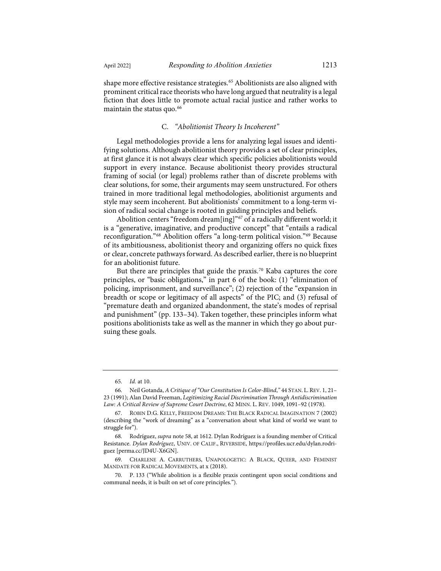shape more effective resistance strategies.<sup>[65](#page-15-0)</sup> Abolitionists are also aligned with prominent critical race theorists who have long argued that neutrality is a legal fiction that does little to promote actual racial justice and rather works to maintain the status quo.<sup>[66](#page-15-1)</sup>

### <span id="page-15-6"></span>C. *"Abolitionist Theory Is Incoherent"*

Legal methodologies provide a lens for analyzing legal issues and identifying solutions. Although abolitionist theory provides a set of clear principles, at first glance it is not always clear which specific policies abolitionists would support in every instance. Because abolitionist theory provides structural framing of social (or legal) problems rather than of discrete problems with clear solutions, for some, their arguments may seem unstructured. For others trained in more traditional legal methodologies, abolitionist arguments and style may seem incoherent. But abolitionists' commitment to a long-term vision of radical social change is rooted in guiding principles and beliefs.

Abolition centers "freedom dream[ing]"[67](#page-15-2) of a radically different world; it is a "generative, imaginative, and productive concept" that "entails a radical reconfiguration."[68](#page-15-3) Abolition offers "a long-term political vision."[69](#page-15-4) Because of its ambitiousness, abolitionist theory and organizing offers no quick fixes or clear, concrete pathways forward. As described earlier, there is no blueprint for an abolitionist future.

But there are principles that guide the praxis.<sup>[70](#page-15-5)</sup> Kaba captures the core principles, or "basic obligations," in part 6 of the book: (1) "elimination of policing, imprisonment, and surveillance"; (2) rejection of the "expansion in breadth or scope or legitimacy of all aspects" of the PIC; and (3) refusal of "premature death and organized abandonment, the state's modes of reprisal and punishment" (pp. 133–34). Taken together, these principles inform what positions abolitionists take as well as the manner in which they go about pursuing these goals.

<sup>65.</sup> *Id.* at 10.

<span id="page-15-1"></span><span id="page-15-0"></span><sup>66.</sup> Neil Gotanda, *A Critique of "Our Constitution Is Color-Blind*,*"* 44 STAN. L.REV. 1, 21– 23 (1991); Alan David Freeman, *Legitimizing Racial Discrimination Through Antidiscrimination Law: A Critical Review of Supreme Court Doctrine*, 62 MINN. L. REV. 1049, 1091–92 (1978).

<span id="page-15-2"></span><sup>67.</sup> ROBIN D.G. KELLY, FREEDOM DREAMS: THE BLACK RADICAL IMAGINATION 7 (2002) (describing the "work of dreaming" as a "conversation about what kind of world we want to struggle for").

<span id="page-15-3"></span><sup>68.</sup> Rodríguez, *supra* not[e 58,](#page-13-4) at 1612. Dylan Rodríguez is a founding member of Critical Resistance. *Dylan Rodríguez*, UNIV. OF CALIF., RIVERSIDE[, https://profiles.ucr.edu/dylan.rodri](https://profiles.ucr.edu/dylan.rodriguez)[guez](https://profiles.ucr.edu/dylan.rodriguez) [\[perma.cc/JD4U-X6GN\]](https://perma.cc/JD4U-X6GN).

<span id="page-15-4"></span><sup>69.</sup> CHARLENE A. CARRUTHERS, UNAPOLOGETIC: A BLACK, QUEER, AND FEMINIST MANDATE FOR RADICAL MOVEMENTS, at x (2018).

<span id="page-15-5"></span>P. 133 ("While abolition is a flexible praxis contingent upon social conditions and communal needs, it is built on set of core principles.").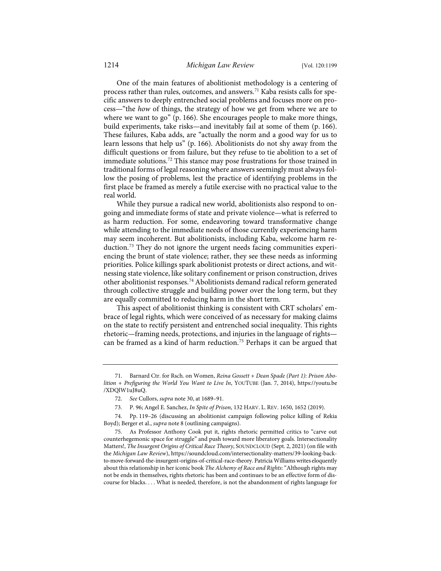One of the main features of abolitionist methodology is a centering of process rather than rules, outcomes, and answers.<sup>[71](#page-16-0)</sup> Kaba resists calls for specific answers to deeply entrenched social problems and focuses more on process—"the *how* of things, the strategy of how we get from where we are to where we want to go" (p. 166). She encourages people to make more things, build experiments, take risks—and inevitably fail at some of them (p. 166). These failures, Kaba adds, are "actually the norm and a good way for us to learn lessons that help us" (p. 166). Abolitionists do not shy away from the difficult questions or from failure, but they refuse to tie abolition to a set of immediate solutions.<sup>[72](#page-16-1)</sup> This stance may pose frustrations for those trained in traditional forms of legal reasoning where answers seemingly must always follow the posing of problems, lest the practice of identifying problems in the first place be framed as merely a futile exercise with no practical value to the real world.

<span id="page-16-5"></span>While they pursue a radical new world, abolitionists also respond to ongoing and immediate forms of state and private violence—what is referred to as harm reduction. For some, endeavoring toward transformative change while attending to the immediate needs of those currently experiencing harm may seem incoherent. But abolitionists, including Kaba, welcome harm reduction.[73](#page-16-2) They do not ignore the urgent needs facing communities experiencing the brunt of state violence; rather, they see these needs as informing priorities. Police killings spark abolitionist protests or direct actions, and witnessing state violence, like solitary confinement or prison construction, drives other abolitionist responses.[74](#page-16-3) Abolitionists demand radical reform generated through collective struggle and building power over the long term, but they are equally committed to reducing harm in the short term.

This aspect of abolitionist thinking is consistent with CRT scholars' embrace of legal rights, which were conceived of as necessary for making claims on the state to rectify persistent and entrenched social inequality. This rights rhetoric—framing needs, protections, and injuries in the language of rights— can be framed as a kind of harm reduction.<sup>[75](#page-16-4)</sup> Perhaps it can be argued that

<span id="page-16-0"></span><sup>71.</sup> Barnard Ctr. for Rsch. on Women, *Reina Gossett + Dean Spade (Part 1): Prison Abolition + Prefiguring the World You Want to Live In*, YOUTUBE (Jan. 7, 2014), [https://youtu.be](https://youtu.be/XDQlW1uJ8uQ) [/XDQlW1uJ8uQ.](https://youtu.be/XDQlW1uJ8uQ)

<sup>72.</sup> *See* Cullors, *supra* not[e 30,](#page-7-4) at 1689–91.

<sup>73.</sup> P. 96; Angel E. Sanchez, *In Spite of Prison*, 132 HARV. L. REV. 1650, 1652 (2019).

<span id="page-16-3"></span><span id="page-16-2"></span><span id="page-16-1"></span><sup>74.</sup> Pp. 119–26 (discussing an abolitionist campaign following police killing of Rekia Boyd); Berger et al., *supra* not[e 8](#page-2-8) (outlining campaigns).

<span id="page-16-4"></span><sup>75.</sup> As Professor Anthony Cook put it, rights rhetoric permitted critics to "carve out counterhegemonic space for struggle" and push toward more liberatory goals. Intersectionality Matters!, *The Insurgent Origins of Critical Race Theory*, SOUNDCLOUD (Sept. 2, 2021) (on file with the *Michigan Law Review*)[, https://soundcloud.com/intersectionality-matters/39-looking-back](https://soundcloud.com/intersectionality-matters/39-looking-back-to-move-forward-the-insurgent-origins-of-critical-race-theory)[to-move-forward-the-insurgent-origins-of-critical-race-theory.](https://soundcloud.com/intersectionality-matters/39-looking-back-to-move-forward-the-insurgent-origins-of-critical-race-theory) Patricia Williams writes eloquently about this relationship in her iconic book *The Alchemy of Race and Rights*: "Although rights may not be ends in themselves, rights rhetoric has been and continues to be an effective form of discourse for blacks. . . . What is needed, therefore, is not the abandonment of rights language for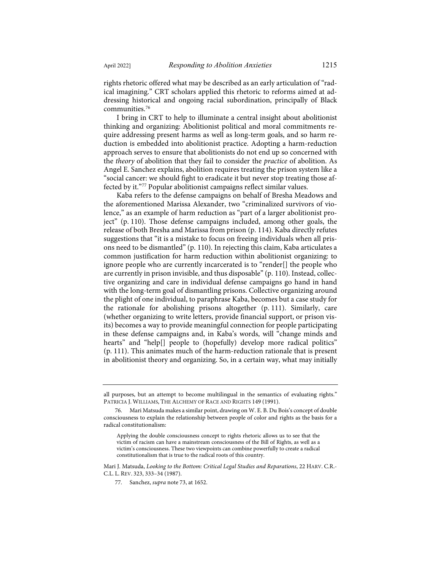rights rhetoric offered what may be described as an early articulation of "radical imagining." CRT scholars applied this rhetoric to reforms aimed at addressing historical and ongoing racial subordination, principally of Black communities.[76](#page-17-0)

I bring in CRT to help to illuminate a central insight about abolitionist thinking and organizing: Abolitionist political and moral commitments require addressing present harms as well as long-term goals, and so harm reduction is embedded into abolitionist practice. Adopting a harm-reduction approach serves to ensure that abolitionists do not end up so concerned with the *theory* of abolition that they fail to consider the *practice* of abolition. As Angel E. Sanchez explains, abolition requires treating the prison system like a "social cancer: we should fight to eradicate it but never stop treating those affected by it."[77](#page-17-1) Popular abolitionist campaigns reflect similar values.

Kaba refers to the defense campaigns on behalf of Bresha Meadows and the aforementioned Marissa Alexander, two "criminalized survivors of violence," as an example of harm reduction as "part of a larger abolitionist project" (p. 110). Those defense campaigns included, among other goals, the release of both Bresha and Marissa from prison (p. 114). Kaba directly refutes suggestions that "it is a mistake to focus on freeing individuals when all prisons need to be dismantled" (p. 110). In rejecting this claim, Kaba articulates a common justification for harm reduction within abolitionist organizing: to ignore people who are currently incarcerated is to "render[] the people who are currently in prison invisible, and thus disposable" (p. 110). Instead, collective organizing and care in individual defense campaigns go hand in hand with the long-term goal of dismantling prisons. Collective organizing around the plight of one individual, to paraphrase Kaba, becomes but a case study for the rationale for abolishing prisons altogether (p. 111). Similarly, care (whether organizing to write letters, provide financial support, or prison visits) becomes a way to provide meaningful connection for people participating in these defense campaigns and, in Kaba's words, will "change minds and hearts" and "help[] people to (hopefully) develop more radical politics" (p. 111). This animates much of the harm-reduction rationale that is present in abolitionist theory and organizing. So, in a certain way, what may initially

all purposes, but an attempt to become multilingual in the semantics of evaluating rights." PATRICIA J. WILLIAMS, THE ALCHEMY OF RACE AND RIGHTS 149 (1991).

<span id="page-17-0"></span><sup>76.</sup> Mari Matsuda makes a similar point, drawing on W. E. B. Du Bois's concept of double consciousness to explain the relationship between people of color and rights as the basis for a radical constitutionalism:

Applying the double consciousness concept to rights rhetoric allows us to see that the victim of racism can have a mainstream consciousness of the Bill of Rights, as well as a victim's consciousness. These two viewpoints can combine powerfully to create a radical constitutionalism that is true to the radical roots of this country.

<span id="page-17-1"></span>Mari J. Matsuda, *Looking to the Bottom: Critical Legal Studies and Reparations*, 22 HARV. C.R.- C.L. L. REV. 323, 333–34 (1987).

<sup>77.</sup> Sanchez, *supra* not[e 73,](#page-16-5) at 1652.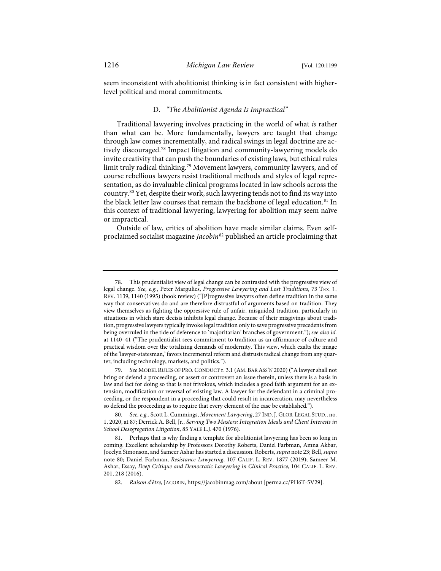seem inconsistent with abolitionist thinking is in fact consistent with higherlevel political and moral commitments.

#### <span id="page-18-6"></span>D. *"The Abolitionist Agenda Is Impractical"*

Traditional lawyering involves practicing in the world of what *is* rather than what can be. More fundamentally, lawyers are taught that change through law comes incrementally, and radical swings in legal doctrine are actively discouraged.[78](#page-18-1) Impact litigation and community-lawyering models do invite creativity that can push the boundaries of existing laws, but ethical rules limit truly radical thinking.<sup>[79](#page-18-2)</sup> Movement lawyers, community lawyers, and of course rebellious lawyers resist traditional methods and styles of legal representation, as do invaluable clinical programs located in law schools across the country.[80](#page-18-3) Yet, despite their work, such lawyering tends not to find its way into the black letter law courses that remain the backbone of legal education.<sup>[81](#page-18-4)</sup> In this context of traditional lawyering, lawyering for abolition may seem naïve or impractical.

<span id="page-18-0"></span>Outside of law, critics of abolition have made similar claims. Even selfproclaimed socialist magazine *Jacobin*[82](#page-18-5) published an article proclaiming that

<span id="page-18-1"></span><sup>78.</sup> This prudentialist view of legal change can be contrasted with the progressive view of legal change. *See, e.g.*, Peter Margulies, *Progressive Lawyering and Lost Traditions*, 73 TEX. L. REV. 1139, 1140 (1995) (book review) ("[P]rogressive lawyers often define tradition in the same way that conservatives do and are therefore distrustful of arguments based on tradition. They view themselves as fighting the oppressive rule of unfair, misguided tradition, particularly in situations in which stare decisis inhibits legal change. Because of their misgivings about tradition, progressive lawyers typically invoke legal tradition only to save progressive precedents from being overruled in the tide of deference to 'majoritarian' branches of government."); *see also id.* at 1140–41 ("The prudentialist sees commitment to tradition as an affirmance of culture and practical wisdom over the totalizing demands of modernity. This view, which exalts the image of the 'lawyer-statesman,' favors incremental reform and distrusts radical change from any quarter, including technology, markets, and politics.").

<span id="page-18-2"></span><sup>79.</sup> *See* MODEL RULES OF PRO.CONDUCT r. 3.1 (AM. BAR ASS'N 2020) ("A lawyer shall not bring or defend a proceeding, or assert or controvert an issue therein, unless there is a basis in law and fact for doing so that is not frivolous, which includes a good faith argument for an extension, modification or reversal of existing law. A lawyer for the defendant in a criminal proceeding, or the respondent in a proceeding that could result in incarceration, may nevertheless so defend the proceeding as to require that every element of the case be established.").

<span id="page-18-3"></span><sup>80.</sup> *See, e.g.*, Scott L. Cummings, *Movement Lawyering*, 27 IND.J. GLOB. LEGAL STUD., no. 1, 2020, at 87; Derrick A. Bell, Jr., *Serving Two Masters: Integration Ideals and Client Interests in School Desegregation Litigation*, 85 YALE L.J. 470 (1976).

<span id="page-18-5"></span><span id="page-18-4"></span><sup>81.</sup> Perhaps that is why finding a template for abolitionist lawyering has been so long in coming. Excellent scholarship by Professors Dorothy Roberts, Daniel Farbman, Amna Akbar, Jocelyn Simonson, and Sameer Ashar has started a discussion. Roberts, *supra* not[e 23;](#page-5-6) Bell, *supra* note [80;](#page-18-0) Daniel Farbman, *Resistance Lawyering*, 107 CALIF. L. REV. 1877 (2019); Sameer M. Ashar, Essay, *Deep Critique and Democratic Lawyering in Clinical Practice*, 104 CALIF. L. REV. 201, 218 (2016).

<sup>82.</sup> *Raison d'être*, JACOBIN[, https://jacobinmag.com/about](https://jacobinmag.com/about) [\[perma.cc/PH6T-5V29\]](https://perma.cc/PH6T-5V29).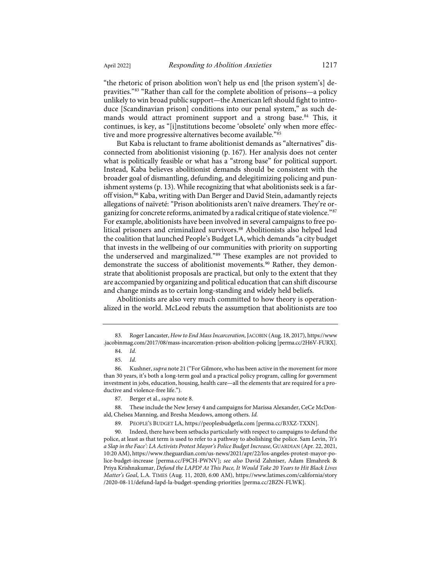"the rhetoric of prison abolition won't help us end [the prison system's] depravities."[83](#page-19-0) "Rather than call for the complete abolition of prisons—a policy unlikely to win broad public support—the American left should fight to introduce [Scandinavian prison] conditions into our penal system," as such de-mands would attract prominent support and a strong base.<sup>[84](#page-19-1)</sup> This, it continues, is key, as "[i]nstitutions become 'obsolete' only when more effective and more progressive alternatives become available.["85](#page-19-2)

But Kaba is reluctant to frame abolitionist demands as "alternatives" disconnected from abolitionist visioning (p. 167). Her analysis does not center what is politically feasible or what has a "strong base" for political support. Instead, Kaba believes abolitionist demands should be consistent with the broader goal of dismantling, defunding, and delegitimizing policing and punishment systems (p. 13). While recognizing that what abolitionists seek is a faroff vision,[86](#page-19-3) Kaba, writing with Dan Berger and David Stein, adamantly rejects allegations of naïveté: "Prison abolitionists aren't naïve dreamers. They're organizing for concrete reforms, animated by a radical critique of state violence."[87](#page-19-4) For example, abolitionists have been involved in several campaigns to free po-litical prisoners and criminalized survivors.<sup>[88](#page-19-5)</sup> Abolitionists also helped lead the coalition that launched People's Budget LA, which demands "a city budget that invests in the wellbeing of our communities with priority on supporting the underserved and marginalized."[89](#page-19-6) These examples are not provided to demonstrate the success of abolitionist movements.<sup>[90](#page-19-7)</sup> Rather, they demonstrate that abolitionist proposals are practical, but only to the extent that they are accompanied by organizing and political education that can shift discourse and change minds as to certain long-standing and widely held beliefs.

Abolitionists are also very much committed to how theory is operationalized in the world. McLeod rebuts the assumption that abolitionists are too

<span id="page-19-1"></span><span id="page-19-0"></span><sup>83.</sup> Roger Lancaster, *How to End Mass Incarceration*, JACOBIN (Aug. 18, 2017)[, https://www](https://www.jacobinmag.com/2017/08/mass-incarceration-prison-abolition-policing) [.jacobinmag.com/2017/08/mass-incarceration-prison-abolition-policing](https://www.jacobinmag.com/2017/08/mass-incarceration-prison-abolition-policing) [\[perma.cc/2H6V-FURX\]](https://perma.cc/2H6V-FURX).

<sup>84.</sup> *Id.*

<sup>85.</sup> *Id.*

<span id="page-19-3"></span><span id="page-19-2"></span><sup>86.</sup> Kushner, *supra* not[e 21](#page-5-7) ("For Gilmore, who has been active in the movement for more than 30 years, it's both a long-term goal and a practical policy program, calling for government investment in jobs, education, housing, health care—all the elements that are required for a productive and violence-free life.").

<sup>87.</sup> Berger et al., *supra* not[e 8.](#page-2-8)

<span id="page-19-5"></span><span id="page-19-4"></span><sup>88.</sup> These include the New Jersey 4 and campaigns for Marissa Alexander, CeCe McDonald, Chelsea Manning, and Bresha Meadows, among others. *Id.*

<sup>89.</sup> PEOPLE'S BUDGET LA, [https://peoplesbudgetla.com](https://peoplesbudgetla.com/) [\[perma.cc/B3XZ-TXXN\]](https://perma.cc/B3XZ-TXXN).

<span id="page-19-7"></span><span id="page-19-6"></span><sup>90.</sup> Indeed, there have been setbacks particularly with respect to campaigns to defund the police, at least as that term is used to refer to a pathway to abolishing the police. Sam Levin, *'It's a Slap in the Face': LA Activists Protest Mayor's Police Budget Increase*, GUARDIAN (Apr. 22, 2021, 10:20 AM)[, https://www.theguardian.com/us-news/2021/apr/22/los-angeles-protest-mayor-po](https://www.theguardian.com/us-news/2021/apr/22/los-angeles-protest-mayor-police-budget-increase)[lice-budget-increase](https://www.theguardian.com/us-news/2021/apr/22/los-angeles-protest-mayor-police-budget-increase) [\[perma.cc/F9CH-PWNV\]](https://perma.cc/F9CH-PWNV); *see also* David Zahniser, Adam Elmahrek & Priya Krishnakumar, *Defund the LAPD? At This Pace, It Would Take 20 Years to Hit Black Lives Matter's Goal*, L.A. TIMES (Aug. 11, 2020, 6:00 AM), [https://www.latimes.com/california/story](https://www.latimes.com/california/story/2020-08-11/defund-lapd-la-budget-spending-priorities) [/2020-08-11/defund-lapd-la-budget-spending-priorities](https://www.latimes.com/california/story/2020-08-11/defund-lapd-la-budget-spending-priorities) [\[perma.cc/2BZN-FLWK\]](https://perma.cc/2BZN-FLWK).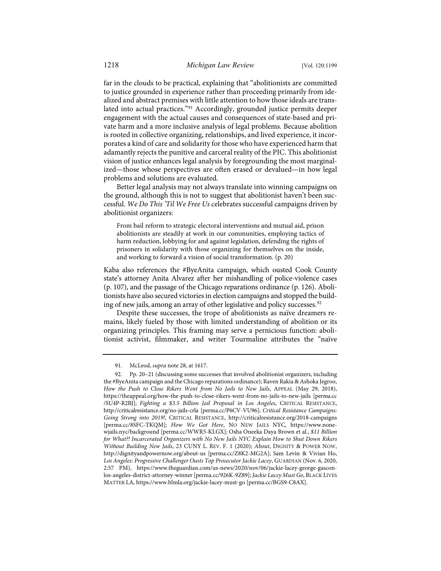far in the clouds to be practical, explaining that "abolitionists are committed to justice grounded in experience rather than proceeding primarily from idealized and abstract premises with little attention to how those ideals are translated into actual practices.["91](#page-20-0) Accordingly, grounded justice permits deeper engagement with the actual causes and consequences of state-based and private harm and a more inclusive analysis of legal problems. Because abolition is rooted in collective organizing, relationships, and lived experience, it incorporates a kind of care and solidarity for those who have experienced harm that adamantly rejects the punitive and carceral reality of the PIC. This abolitionist vision of justice enhances legal analysis by foregrounding the most marginalized—those whose perspectives are often erased or devalued—in how legal problems and solutions are evaluated.

Better legal analysis may not always translate into winning campaigns on the ground, although this is not to suggest that abolitionist haven't been successful. *We Do This 'Til We Free Us* celebrates successful campaigns driven by abolitionist organizers:

From bail reform to strategic electoral interventions and mutual aid, prison abolitionists are steadily at work in our communities, employing tactics of harm reduction, lobbying for and against legislation, defending the rights of prisoners in solidarity with those organizing for themselves on the inside, and working to forward a vision of social transformation. (p. 20)

Kaba also references the #ByeAnita campaign, which ousted Cook County state's attorney Anita Alvarez after her mishandling of police-violence cases (p. 107), and the passage of the Chicago reparations ordinance (p. 126). Abolitionists have also secured victories in election campaigns and stopped the build-ing of new jails, among an array of other legislative and policy successes.<sup>[92](#page-20-1)</sup>

Despite these successes, the trope of abolitionists as naïve dreamers remains, likely fueled by those with limited understanding of abolition or its organizing principles. This framing may serve a pernicious function: abolitionist activist, filmmaker, and writer Tourmaline attributes the "naïve

<sup>91.</sup> McLeod, *supra* not[e 28,](#page-7-3) at 1617.

<span id="page-20-1"></span><span id="page-20-0"></span><sup>92.</sup> Pp. 20–21 (discussing some successes that involved abolitionist organizers, including the #ByeAnita campaign and the Chicago reparations ordinance); Raven Rakia & Ashoka Jegroo, *How the Push to Close Rikers Went from No Jails to New Jails*, APPEAL (May 29, 2018), <https://theappeal.org/how-the-push-to-close-rikers-went-from-no-jails-to-new-jails> [\[perma.cc](https://perma.cc/SU4P-R2BJ) [/SU4P-R2BJ\]](https://perma.cc/SU4P-R2BJ); *Fighting a \$3.5 Billion Jail Proposal in Los Angeles*, CRITICAL RESISTANCE, <http://criticalresistance.org/no-jails-crla> [\[perma.cc/P6CV-VU96\];](https://perma.cc/P6CV-VU96) *Critical Resistance Campaigns: Going Strong into 2019!*, CRITICAL RESISTANCE, [http://criticalresistance.org/2018-campaigns](http://criticalresistance.org/2018-campaigns/) [\[perma.cc/8SFC-TKQM\]](https://perma.cc/8SFC-TKQM); *How We Got Here*, NO NEW JAILS NYC, [https://www.none](https://www.nonewjails.nyc/background)[wjails.nyc/background](https://www.nonewjails.nyc/background) [\[perma.cc/WWR5-KLGX\]](https://perma.cc/WWR5-KLGX); Osha Oneeka Daya Brown et al., *\$11 Billion for What?! Incarcerated Organizers with No New Jails NYC Explain How to Shut Down Rikers Without Building New Jails*, 23 CUNY L. REV. F. 1 (2020); *About*, DIGNITY & POWER NOW, [http://dignityandpowernow.org/about-us](http://dignityandpowernow.org/about-us/) [\[perma.cc/Z8K2-MG2A\]](https://perma.cc/Z8K2-MG2A); Sam Levin & Vivian Ho, *Los Angeles: Progressive Challenger Ousts Top Prosecutor Jackie Lacey*, GUARDIAN (Nov. 6, 2020, 2:57 PM), [https://www.theguardian.com/us-news/2020/nov/06/jackie-lacey-george-gascon](https://www.theguardian.com/us-news/2020/nov/06/jackie-lacey-george-gascon-los-angeles-district-attorney-winner)[los-angeles-district-attorney-winner](https://www.theguardian.com/us-news/2020/nov/06/jackie-lacey-george-gascon-los-angeles-district-attorney-winner)[\[perma.cc/926K-9Z89\]](https://perma.cc/926K-9Z89); *Jackie Lacey Must Go*, BLACK LIVES MATTER LA, <https://www.blmla.org/jackie-lacey-must-go> [\[perma.cc/BGS9-C8AX\]](https://perma.cc/BGS9-C8AX).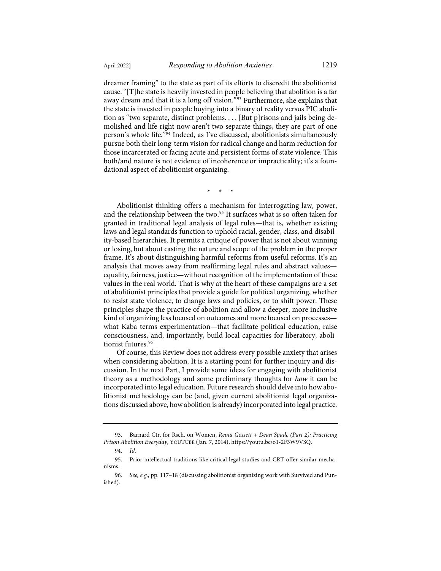dreamer framing" to the state as part of its efforts to discredit the abolitionist cause. "[T]he state is heavily invested in people believing that abolition is a far away dream and that it is a long off vision."[93](#page-21-0) Furthermore, she explains that the state is invested in people buying into a binary of reality versus PIC abolition as "two separate, distinct problems. . . . [But p]risons and jails being demolished and life right now aren't two separate things, they are part of one person's whole life."[94](#page-21-1) Indeed, as I've discussed, abolitionists simultaneously pursue both their long-term vision for radical change and harm reduction for those incarcerated or facing acute and persistent forms of state violence. This both/and nature is not evidence of incoherence or impracticality; it's a foundational aspect of abolitionist organizing.

\* \* \*

Abolitionist thinking offers a mechanism for interrogating law, power, and the relationship between the two.<sup>[95](#page-21-2)</sup> It surfaces what is so often taken for granted in traditional legal analysis of legal rules—that is, whether existing laws and legal standards function to uphold racial, gender, class, and disability-based hierarchies. It permits a critique of power that is not about winning or losing, but about casting the nature and scope of the problem in the proper frame. It's about distinguishing harmful reforms from useful reforms. It's an analysis that moves away from reaffirming legal rules and abstract values equality, fairness, justice—without recognition of the implementation of these values in the real world. That is why at the heart of these campaigns are a set of abolitionist principles that provide a guide for political organizing, whether to resist state violence, to change laws and policies, or to shift power. These principles shape the practice of abolition and allow a deeper, more inclusive kind of organizing less focused on outcomes and more focused on processes what Kaba terms experimentation—that facilitate political education, raise consciousness, and, importantly, build local capacities for liberatory, aboli-tionist futures.<sup>[96](#page-21-3)</sup>

Of course, this Review does not address every possible anxiety that arises when considering abolition. It is a starting point for further inquiry and discussion. In the next Part, I provide some ideas for engaging with abolitionist theory as a methodology and some preliminary thoughts for *how* it can be incorporated into legal education. Future research should delve into how abolitionist methodology can be (and, given current abolitionist legal organizations discussed above, how abolition is already) incorporated into legal practice.

<span id="page-21-0"></span><sup>93.</sup> Barnard Ctr. for Rsch. on Women, *Reina Gossett + Dean Spade (Part 2): Practicing Prison Abolition Everyday*, YOUTUBE (Jan. 7, 2014), [https://youtu.be/o1-2F3W9VSQ.](https://youtu.be/o1-2F3W9VSQ)

<sup>94.</sup> *Id.*

<span id="page-21-2"></span><span id="page-21-1"></span><sup>95.</sup> Prior intellectual traditions like critical legal studies and CRT offer similar mechanisms.

<span id="page-21-3"></span><sup>96.</sup> *See, e.g.*, pp. 117–18 (discussing abolitionist organizing work with Survived and Punished).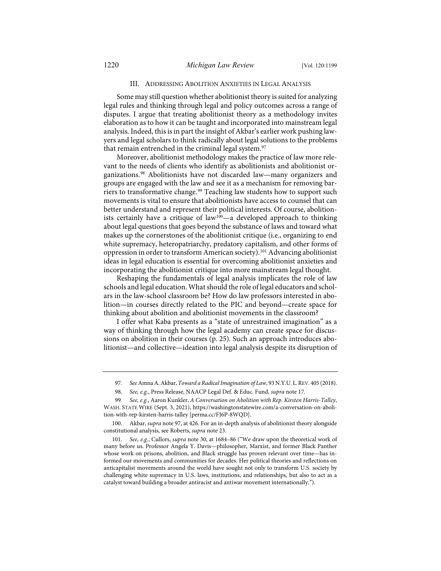#### <span id="page-22-0"></span>III. ADDRESSING ABOLITION ANXIETIES IN LEGAL ANALYSIS

Some may still question whether abolitionist theory is suited for analyzing legal rules and thinking through legal and policy outcomes across a range of disputes. I argue that treating abolitionist theory as a methodology invites elaboration as to how it can be taught and incorporated into mainstream legal analysis. Indeed, this is in part the insight of Akbar's earlier work pushing lawyers and legal scholars to think radically about legal solutions to the problems that remain entrenched in the criminal legal system.<sup>[97](#page-22-1)</sup>

Moreover, abolitionist methodology makes the practice of law more relevant to the needs of clients who identify as abolitionists and abolitionist organizations.[98](#page-22-2) Abolitionists have not discarded law—many organizers and groups are engaged with the law and see it as a mechanism for removing bar-riers to transformative change.<sup>[99](#page-22-3)</sup> Teaching law students how to support such movements is vital to ensure that abolitionists have access to counsel that can better understand and represent their political interests. Of course, abolitionists certainly have a critique of law[100—](#page-22-4)a developed approach to thinking about legal questions that goes beyond the substance of laws and toward what makes up the cornerstones of the abolitionist critique (i.e., organizing to end white supremacy, heteropatriarchy, predatory capitalism, and other forms of oppression in order to transform American society).<sup>[101](#page-22-5)</sup> Advancing abolitionist ideas in legal education is essential for overcoming abolitionist anxieties and incorporating the abolitionist critique into more mainstream legal thought.

Reshaping the fundamentals of legal analysis implicates the role of law schools and legal education. What should the role of legal educators and scholars in the law-school classroom be? How do law professors interested in abolition—in courses directly related to the PIC and beyond—create space for thinking about abolition and abolitionist movements in the classroom?

I offer what Kaba presents as a "state of unrestrained imagination" as a way of thinking through how the legal academy can create space for discussions on abolition in their courses (p. 25). Such an approach introduces abolitionist—and collective—ideation into legal analysis despite its disruption of

<sup>97.</sup> *See*Amna A. Akbar, *Toward a Radical Imagination of Law*, 93 N.Y.U.L.REV. 405 (2018).

<sup>98.</sup> *See, e.g.*, Press Release, NAACP Legal Def. & Educ. Fund, *supra* not[e 17.](#page-3-11)

<span id="page-22-3"></span><span id="page-22-2"></span><span id="page-22-1"></span><sup>99.</sup> *See, e.g.*, Aaron Kunkler, *A Conversation on Abolition with Rep. Kirsten Harris-Talley*, WASH. STATE WIRE (Sept. 3, 2021)[, https://washingtonstatewire.com/a-conversation-on-aboli](https://washingtonstatewire.com/a-conversation-on-abolition-with-rep-kirsten-harris-talley/)[tion-with-rep-kirsten-harris-talley](https://washingtonstatewire.com/a-conversation-on-abolition-with-rep-kirsten-harris-talley/) [\[perma.cc/FJ6P-8WQD\]](https://perma.cc/FJ6P-8WQD).

<span id="page-22-4"></span><sup>100.</sup> Akbar, *supra* not[e 97,](#page-22-0) at 426. For an in-depth analysis of abolitionist theory alongside constitutional analysis, see Roberts, *supra* not[e 23.](#page-5-6)

<span id="page-22-5"></span><sup>101.</sup> *See, e.g.*, Cullors, *supra* note [30,](#page-7-4) at 1684–86 ("We draw upon the theoretical work of many before us. Professor Angela Y. Davis—philosopher, Marxist, and former Black Panther whose work on prisons, abolition, and Black struggle has proven relevant over time—has informed our movements and communities for decades. Her political theories and reflections on anticapitalist movements around the world have sought not only to transform U.S. society by challenging white supremacy in U.S. laws, institutions, and relationships, but also to act as a catalyst toward building a broader antiracist and antiwar movement internationally.").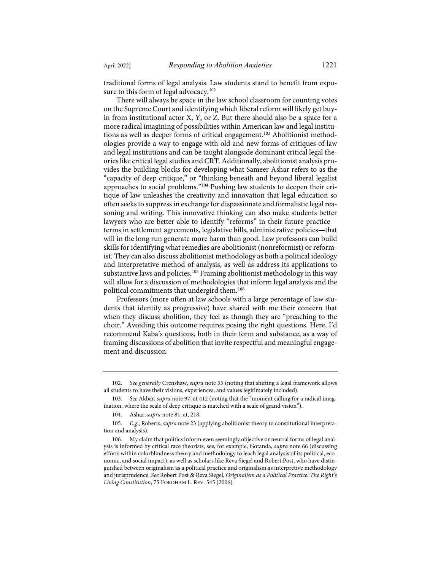traditional forms of legal analysis. Law students stand to benefit from exposure to this form of legal advocacy.<sup>102</sup>

There will always be space in the law school classroom for counting votes on the Supreme Court and identifying which liberal reform will likely get buyin from institutional actor X, Y, or Z. But there should also be a space for a more radical imagining of possibilities within American law and legal institu-tions as well as deeper forms of critical engagement.<sup>[103](#page-23-1)</sup> Abolitionist methodologies provide a way to engage with old and new forms of critiques of law and legal institutions and can be taught alongside dominant critical legal theories like critical legal studies and CRT. Additionally, abolitionist analysis provides the building blocks for developing what Sameer Ashar refers to as the "capacity of deep critique," or "thinking beneath and beyond liberal legalist approaches to social problems."[104](#page-23-2) Pushing law students to deepen their critique of law unleashes the creativity and innovation that legal education so often seeks to suppress in exchange for dispassionate and formalistic legal reasoning and writing. This innovative thinking can also make students better lawyers who are better able to identify "reforms" in their future practice terms in settlement agreements, legislative bills, administrative policies—that will in the long run generate more harm than good. Law professors can build skills for identifying what remedies are abolitionist (nonreformist) or reformist. They can also discuss abolitionist methodology as both a political ideology and interpretative method of analysis, as well as address its applications to substantive laws and policies.<sup>105</sup> Framing abolitionist methodology in this way will allow for a discussion of methodologies that inform legal analysis and the political commitments that undergird them.[106](#page-23-4)

Professors (more often at law schools with a large percentage of law students that identify as progressive) have shared with me their concern that when they discuss abolition, they feel as though they are "preaching to the choir." Avoiding this outcome requires posing the right questions. Here, I'd recommend Kaba's questions, both in their form and substance, as a way of framing discussions of abolition that invite respectful and meaningful engagement and discussion:

<span id="page-23-0"></span><sup>102.</sup> *See generally* Crenshaw, *supra* note [55](#page-12-5) (noting that shifting a legal framework allows all students to have their visions, experiences, and values legitimately included).

<span id="page-23-1"></span><sup>103.</sup> *See* Akbar, *supra* not[e 97,](#page-22-0) at 412 (noting that the "moment calling for a radical imagination, where the scale of deep critique is matched with a scale of grand vision").

<sup>104.</sup> Ashar, *supra* not[e 81,](#page-18-6) at, 218.

<span id="page-23-3"></span><span id="page-23-2"></span><sup>105.</sup> *E.g.*, Roberts, *supra* not[e 23](#page-5-6) (applying abolitionist theory to constitutional interpretation and analysis).

<span id="page-23-4"></span><sup>106.</sup> My claim that politics inform even seemingly objective or neutral forms of legal analysis is informed by critical race theorists, see, for example, Gotanda, *supra* not[e 66](#page-15-6) (discussing efforts within colorblindness theory and methodology to leach legal analysis of its political, economic, and social impact), as well as scholars like Reva Siegel and Robert Post, who have distinguished between originalism as a political practice and originalism as interpretive methodology and jurisprudence. *See* Robert Post & Reva Siegel, *Originalism as a Political Practice: The Right's Living Constitution*, 75 FORDHAM L. REV. 545 (2006).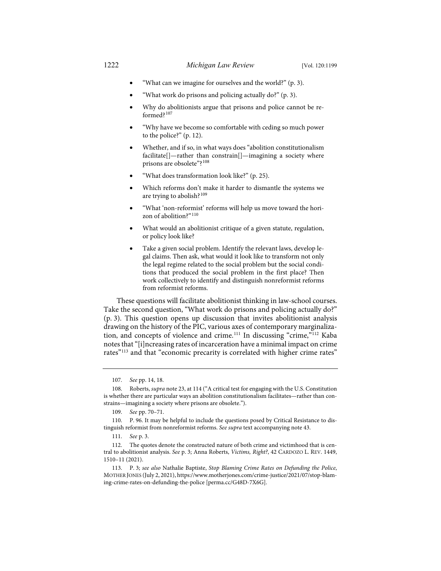- "What can we imagine for ourselves and the world?" (p. 3).
- "What work do prisons and policing actually do?" (p. 3).
- Why do abolitionists argue that prisons and police cannot be reformed?[107](#page-24-0)
- "Why have we become so comfortable with ceding so much power to the police?" (p. 12).
- Whether, and if so, in what ways does "abolition constitutionalism facilitate[]—rather than constrain[]—imagining a society where prisons are obsolete"?[108](#page-24-1)
- "What does transformation look like?" (p. 25).
- Which reforms don't make it harder to dismantle the systems we are trying to abolish?<sup>[109](#page-24-2)</sup>
- "What 'non-reformist' reforms will help us move toward the hori-zon of abolition?"<sup>[110](#page-24-3)</sup>
- What would an abolitionist critique of a given statute, regulation, or policy look like?
- Take a given social problem. Identify the relevant laws, develop legal claims. Then ask, what would it look like to transform not only the legal regime related to the social problem but the social conditions that produced the social problem in the first place? Then work collectively to identify and distinguish nonreformist reforms from reformist reforms.

These questions will facilitate abolitionist thinking in law-school courses. Take the second question, "What work do prisons and policing actually do?" (p. 3). This question opens up discussion that invites abolitionist analysis drawing on the history of the PIC, various axes of contemporary marginaliza-tion, and concepts of violence and crime.<sup>[111](#page-24-4)</sup> In discussing "crime,"<sup>[112](#page-24-5)</sup> Kaba notes that "[i]ncreasing rates of incarceration have a minimal impact on crime rates"<sup>[113](#page-24-6)</sup> and that "economic precarity is correlated with higher crime rates"

<sup>107.</sup> *See* pp. 14, 18.

<span id="page-24-1"></span><span id="page-24-0"></span><sup>108.</sup> Roberts, *supra* not[e 23,](#page-5-6) at 114 ("A critical test for engaging with the U.S. Constitution is whether there are particular ways an abolition constitutionalism facilitates—rather than constrains—imagining a society where prisons are obsolete.").

<sup>109.</sup> *See* pp. 70–71.

<span id="page-24-3"></span><span id="page-24-2"></span><sup>110.</sup> P. 96. It may be helpful to include the questions posed by Critical Resistance to distinguish reformist from nonreformist reforms. *See supra* text accompanying not[e 43.](#page-10-7)

<sup>111.</sup> *See* p. 3.

<span id="page-24-5"></span><span id="page-24-4"></span><sup>112.</sup> The quotes denote the constructed nature of both crime and victimhood that is central to abolitionist analysis. *See* p. 3; Anna Roberts, *Victims, Right?*, 42 CARDOZO L. REV. 1449, 1510–11 (2021).

<span id="page-24-6"></span><sup>113.</sup> P. 3; *see also* Nathalie Baptiste, *Stop Blaming Crime Rates on Defunding the Police*, MOTHER JONES (July 2, 2021)[, https://www.motherjones.com/crime-justice/2021/07/stop-blam](https://www.motherjones.com/crime-justice/2021/07/stop-blaming-crime-rates-on-defunding-the-police)[ing-crime-rates-on-defunding-the-police](https://www.motherjones.com/crime-justice/2021/07/stop-blaming-crime-rates-on-defunding-the-police) [\[perma.cc/G48D-7X6G\]](https://perma.cc/G48D-7X6G).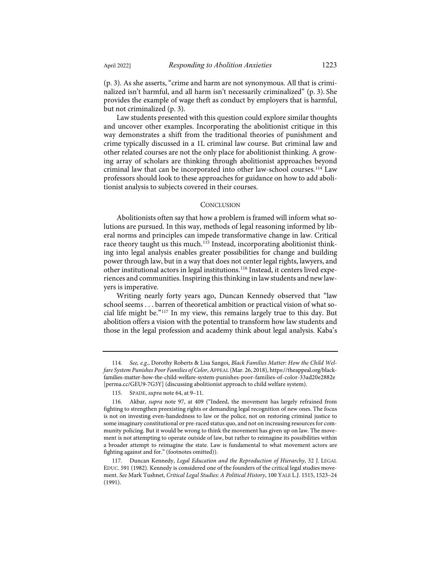(p. 3). As she asserts, "crime and harm are not synonymous. All that is criminalized isn't harmful, and all harm isn't necessarily criminalized" (p. 3). She provides the example of wage theft as conduct by employers that is harmful, but not criminalized (p. 3).

Law students presented with this question could explore similar thoughts and uncover other examples. Incorporating the abolitionist critique in this way demonstrates a shift from the traditional theories of punishment and crime typically discussed in a 1L criminal law course. But criminal law and other related courses are not the only place for abolitionist thinking. A growing array of scholars are thinking through abolitionist approaches beyond criminal law that can be incorporated into other law-school courses.[114](#page-25-0) Law professors should look to these approaches for guidance on how to add abolitionist analysis to subjects covered in their courses.

#### **CONCLUSION**

Abolitionists often say that how a problem is framed will inform what solutions are pursued. In this way, methods of legal reasoning informed by liberal norms and principles can impede transformative change in law. Critical race theory taught us this much.<sup>[115](#page-25-1)</sup> Instead, incorporating abolitionist thinking into legal analysis enables greater possibilities for change and building power through law, but in a way that does not center legal rights, lawyers, and other institutional actors in legal institutions.[116](#page-25-2) Instead, it centers lived experiences and communities. Inspiring this thinking in law students and new lawyers is imperative.

Writing nearly forty years ago, Duncan Kennedy observed that "law school seems . . . barren of theoretical ambition or practical vision of what social life might be."[117](#page-25-3) In my view, this remains largely true to this day. But abolition offers a vision with the potential to transform how law students and those in the legal profession and academy think about legal analysis. Kaba's

<span id="page-25-0"></span><sup>114.</sup> *See, e.g.*, Dorothy Roberts & Lisa Sangoi, *Black Families Matter: How the Child Welfare System Punishes Poor Families of Color*, APPEAL (Mar. 26, 2018)[, https://theappeal.org/black](https://theappeal.org/black-families-matter-how-the-child-welfare-system-punishes-poor-families-of-color-33ad20e2882e/)[families-matter-how-the-child-welfare-system-punishes-poor-families-of-color-33ad20e2882e](https://theappeal.org/black-families-matter-how-the-child-welfare-system-punishes-poor-families-of-color-33ad20e2882e/) [\[perma.cc/GEU9-7G3Y\]](https://perma.cc/GEU9-7G3Y) (discussing abolitionist approach to child welfare system).

<sup>115.</sup> SPADE, *supra* not[e 64,](#page-14-5) at 9–11.

<span id="page-25-2"></span><span id="page-25-1"></span><sup>116.</sup> Akbar, *supra* note [97,](#page-22-0) at 409 ("Indeed, the movement has largely refrained from fighting to strengthen preexisting rights or demanding legal recognition of new ones. The focus is not on investing even-handedness to law or the police, not on restoring criminal justice to some imaginary constitutional or pre-raced status quo, and not on increasing resources for community policing. But it would be wrong to think the movement has given up on law. The movement is not attempting to operate outside of law, but rather to reimagine its possibilities within a broader attempt to reimagine the state. Law is fundamental to what movement actors are fighting against and for." (footnotes omitted)).

<span id="page-25-3"></span><sup>117.</sup> Duncan Kennedy, *Legal Education and the Reproduction of Hierarchy*, 32 J. LEGAL EDUC. 591 (1982). Kennedy is considered one of the founders of the critical legal studies movement. *See* Mark Tushnet, *Critical Legal Studies: A Political History*, 100 YALE L.J. 1515, 1523–24 (1991).